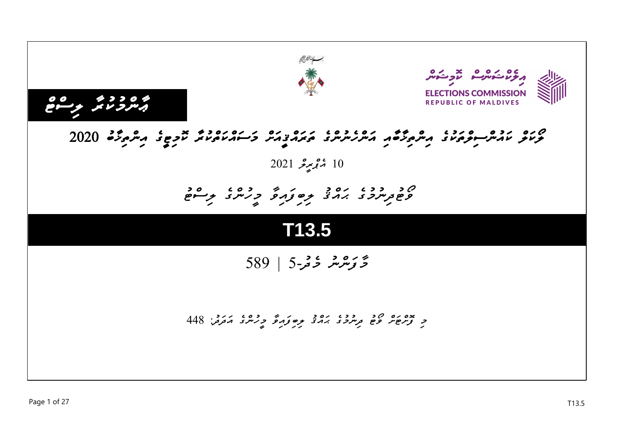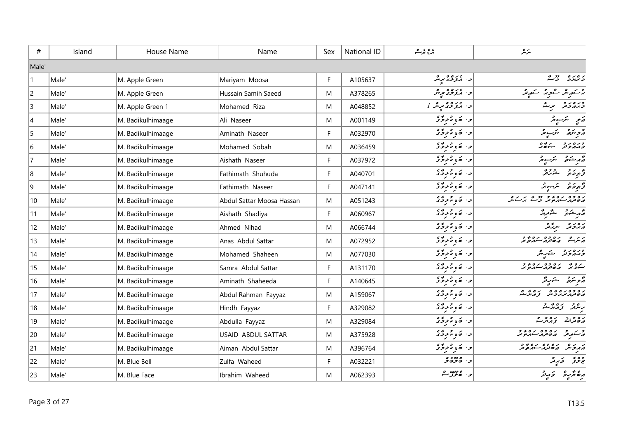| #              | Island | House Name        | Name                      | Sex       | National ID | ، ه ، بر <u>م</u>                                                                   | ىئرىتر                                            |
|----------------|--------|-------------------|---------------------------|-----------|-------------|-------------------------------------------------------------------------------------|---------------------------------------------------|
| Male'          |        |                   |                           |           |             |                                                                                     |                                                   |
|                | Male'  | M. Apple Green    | Mariyam Moosa             | F         | A105637     | و٠ ورووه پرس                                                                        | د ه ده د د م                                      |
| 2              | Male'  | M. Apple Green    | Hussain Samih Saeed       | M         | A378265     | د بروومپر                                                                           | رحم مكر محركة التكرير                             |
| $\vert$ 3      | Male'  | M. Apple Green 1  | Mohamed Riza              | M         | A048852     | د . م.ز ژومپر شر 1                                                                  | ورەرو برگ                                         |
| $\overline{4}$ | Male'  | M. Badikulhimaage | Ali Naseer                | M         | A001149     | د که دیگرده<br>د که دیگرده                                                          | أريموا التكريبوند                                 |
| $\overline{5}$ | Male'  | M. Badikulhimaage | Aminath Naseer            | F         | A032970     | د ځې توڅه<br>د ځې                                                                   | أأوسكم الكرسونر                                   |
| $\overline{6}$ | Male'  | M. Badikulhimaage | Mohamed Sobah             | ${\sf M}$ | A036459     | د که د مود د ،<br>د که د مود د                                                      | وره دو دره و                                      |
| 7              | Male'  | M. Badikulhimaage | Aishath Naseer            | F         | A037972     | د که د مود د د<br>د که د مود د                                                      | ە ئەرىشكە كەسكە ئىر                               |
| $\overline{8}$ | Male'  | M. Badikulhimaage | Fathimath Shuhuda         | F         | A040701     | د ځې توڅه<br>د ځې                                                                   | و و د د د د و د                                   |
| $ 9\rangle$    | Male'  | M. Badikulhimaage | Fathimath Naseer          | F         | A047141     | د که د مود د د<br>د که د مود د                                                      | ۇۋۇۋە سەببەر                                      |
| $ 10\rangle$   | Male'  | M. Badikulhimaage | Abdul Sattar Moosa Hassan | M         | A051243     | د که د موځه<br>د که م                                                               | ره وه ره ده و دو د بر ده<br>مان مرد سوره د از شکس |
| 11             | Male'  | M. Badikulhimaage | Aishath Shadiya           | F         | A060967     | د که د مرد د ،<br>د که د مرد د                                                      | مەرىشكى ئىشىرىر                                   |
| 12             | Male'  | M. Badikulhimaage | Ahmed Nihad               | M         | A066744     | $\frac{c}{5}$ $\frac{5}{5}$ $\frac{5}{5}$ $\frac{6}{5}$ $\frac{6}{5}$ $\frac{1}{5}$ | أرەر دەر ئەر                                      |
| 13             | Male'  | M. Badikulhimaage | Anas Abdul Sattar         | ${\sf M}$ | A072952     | 555450.5                                                                            | بر شده ده ده ده در در                             |
| 14             | Male'  | M. Badikulhimaage | Mohamed Shaheen           | ${\sf M}$ | A077030     | د ځې توڅه<br>د ځې                                                                   | ورەرو خىرىر                                       |
| 15             | Male'  | M. Badikulhimaage | Samra Abdul Sattar        | F         | A131170     | د . ځه د تر د د                                                                     | ره د ده ده ده دور<br>سومر پره در سهرم مر          |
| 16             | Male'  | M. Badikulhimaage | Aminath Shaheeda          | F         | A140645     | 555450.5                                                                            | ړې سره شورېر                                      |
| 17             | Male'  | M. Badikulhimaage | Abdul Rahman Fayyaz       | M         | A159067     | د که د مود د ،<br>د که د مود د                                                      | ره وه ره ده مده ده م<br>مان ترم بربر تر و مار     |
| 18             | Male'  | M. Badikulhimaage | Hindh Fayyaz              | F         | A329082     | $\frac{c}{5}$ $\frac{5}{5}$ $\frac{5}{5}$ $\frac{6}{5}$ $\frac{6}{5}$ $\frac{1}{5}$ | ر سرتر نور جر ح                                   |
| 19             | Male'  | M. Badikulhimaage | Abdulla Fayyaz            | M         | A329084     | د که د مود د د<br>د که د مود د                                                      | رە تراللە ئەر ترىر                                |
| 20             | Male'  | M. Badikulhimaage | USAID ABDUL SATTAR        | M         | A375928     | د ځې توڅه<br>د ځې                                                                   | C C C COLOR CORE                                  |
| 21             | Male'  | M. Badikulhimaage | Aiman Abdul Sattar        | M         | A396764     | د ځې توڅه د                                                                         | - 101070701                                       |
| 22             | Male'  | M. Blue Bell      | Zulfa Waheed              | F         | A032221     | ه دوه و ه<br>د ۱ گلوگوگو                                                            | ج څرگ <sup>2</sup> کوړند                          |
| 23             | Male'  | M. Blue Face      | Ibrahim Waheed            | M         | A062393     | ه ۶۵۶۰ و.                                                                           | وە ئۇرۇ ئەر                                       |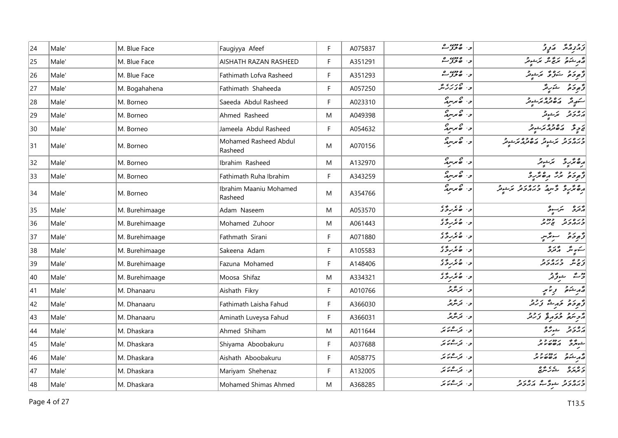| 24 | Male' | M. Blue Face   | Faugiyya Afeef                    | F  | A075837 | ە دەپىر ھ                                                                     | و متوره می در کار در کار در                                                                                                                                                                                                                                                                                                                         |
|----|-------|----------------|-----------------------------------|----|---------|-------------------------------------------------------------------------------|-----------------------------------------------------------------------------------------------------------------------------------------------------------------------------------------------------------------------------------------------------------------------------------------------------------------------------------------------------|
| 25 | Male' | M. Blue Face   | <b>AISHATH RAZAN RASHEED</b>      | F  | A351291 | ە دەپىر ھ                                                                     | $\frac{1}{\sqrt{2\pi}}\sum_{i=1}^N\frac{1}{\sqrt{2\pi}}\sum_{j=1}^N\frac{1}{j} \frac{1}{j} \sum_{j=1}^N\frac{1}{j} \sum_{j=1}^N\frac{1}{j} \frac{1}{j} \sum_{j=1}^N\frac{1}{j} \sum_{j=1}^N\frac{1}{j} \sum_{j=1}^N\frac{1}{j} \sum_{j=1}^N\frac{1}{j} \sum_{j=1}^N\frac{1}{j} \sum_{j=1}^N\frac{1}{j} \sum_{j=1}^N\frac{1}{j} \sum_{j=1}^N\frac{1$ |
| 26 | Male' | M. Blue Face   | Fathimath Lofva Rasheed           | F. | A351293 | ە دەپىر ھ                                                                     | و و ده ده و ده و د                                                                                                                                                                                                                                                                                                                                  |
| 27 | Male' | M. Bogahahena  | Fathimath Shaheeda                | F  | A057250 | ەررە بور                                                                      | وَجوحَةَ خَيْرِيْرَ                                                                                                                                                                                                                                                                                                                                 |
| 28 | Male' | M. Borneo      | Saeeda Abdul Rasheed              | F  | A023310 | و· ھىمبىر                                                                     | ر<br>سوړنگر ده <i>۱۹۶۵ کې</i> شونکر                                                                                                                                                                                                                                                                                                                 |
| 29 | Male' | M. Borneo      | Ahmed Rasheed                     | M  | A049398 | $S_{\mu\nu}$ $S_{\nu}$                                                        | ره رو بر مرکبه<br>  مربر حرکب مرکب                                                                                                                                                                                                                                                                                                                  |
| 30 | Male' | M. Borneo      | Jameela Abdul Rasheed             | F  | A054632 | $\frac{1}{2}$                                                                 | ر و ده ده د کرد و<br>د و د ه محمد کرد کرد                                                                                                                                                                                                                                                                                                           |
| 31 | Male' | M. Borneo      | Mohamed Rasheed Abdul<br>Rasheed  | M  | A070156 | $\int_{\mathcal{N}}^{\mathcal{C}}$ $\propto$                                  | ورەرو كەشوتر مەھەرمەكەشوتر<br><i>وبەم</i> وتر كەشوتر مەھەرمەكەش                                                                                                                                                                                                                                                                                     |
| 32 | Male' | M. Borneo      | Ibrahim Rasheed                   | M  | A132970 | $\int_{\mathcal{X}}^{\mathcal{C}} \mathbf{v} \cdot \mathbf{v} \, d\mathbf{v}$ | رەتۇرۇ ترىيەتر                                                                                                                                                                                                                                                                                                                                      |
| 33 | Male' | M. Borneo      | Fathimath Ruha Ibrahim            | F  | A343259 | و• ھىمبىرىگە                                                                  |                                                                                                                                                                                                                                                                                                                                                     |
| 34 | Male' | M. Borneo      | Ibrahim Maaniu Mohamed<br>Rasheed | M  | A354766 | $\sqrt[6]{2}$                                                                 | ره ده و درورو برخورد میشود.<br>ده مربرد ترسمه و بردوند مرخور                                                                                                                                                                                                                                                                                        |
| 35 | Male' | M. Burehimaage | Adam Naseem                       | M  | A053570 | د . ه ترروی                                                                   | پر ده سرگرده                                                                                                                                                                                                                                                                                                                                        |
| 36 | Male' | M. Burehimaage | Mohamed Zuhoor                    | M  | A061443 | 55/50.5                                                                       | כנסנכ כמב<br><i>כג</i> ובבית הביב                                                                                                                                                                                                                                                                                                                   |
| 37 | Male' | M. Burehimaage | Fathmath Sirani                   | F  | A071880 | و . ځمه ده د                                                                  | قرموخرة سيتمس                                                                                                                                                                                                                                                                                                                                       |
| 38 | Male' | M. Burehimaage | Sakeena Adam                      | F  | A105583 | د . ه ترروی                                                                   | سكيانتش أوحره                                                                                                                                                                                                                                                                                                                                       |
| 39 | Male' | M. Burehimaage | Fazuna Mohamed                    | F. | A148406 | ه . ځم پرون                                                                   | و و په دره د و                                                                                                                                                                                                                                                                                                                                      |
| 40 | Male' | M. Burehimaage | Moosa Shifaz                      | M  | A334321 | د . ه ترروی                                                                   | ارسته شورتور<br>ارسته شورتور                                                                                                                                                                                                                                                                                                                        |
| 41 | Male' | M. Dhanaaru    | Aishath Fikry                     | F. | A010766 | و٠ ترسٌر پر                                                                   | و مشهور و مي<br>مهر مشهور                                                                                                                                                                                                                                                                                                                           |
| 42 | Male' | M. Dhanaaru    | Fathimath Laisha Fahud            | F  | A366030 | والمتمريمر                                                                    | وتجوده ورشه ورد                                                                                                                                                                                                                                                                                                                                     |
| 43 | Male' | M. Dhanaaru    | Aminath Luveysa Fahud             | F  | A366031 | والمتمريكي                                                                    | و دو وړ و دوو                                                                                                                                                                                                                                                                                                                                       |
| 44 | Male' | M. Dhaskara    | Ahmed Shiham                      | M  | A011644 | وستمر شملائيل                                                                 | أرەر دىئورگ                                                                                                                                                                                                                                                                                                                                         |
| 45 | Male' | M. Dhaskara    | Shiyama Aboobakuru                | F  | A037688 | ى ئىر شە <i>مە</i> ئىر                                                        | شور دور دو<br>شورگر د <i>۱۳۵۵</i>                                                                                                                                                                                                                                                                                                                   |
| 46 | Male' | M. Dhaskara    | Aishath Aboobakuru                | F  | A058775 | ى ئە ئەر شەنە ئىر                                                             | 22 133 1<br>J 400 1<br>ر<br>د گهر مشکومی                                                                                                                                                                                                                                                                                                            |
| 47 | Male' | M. Dhaskara    | Mariyam Shehenaz                  | F  | A132005 | ى ئەرشە ئەتكە                                                                 | رەرە ئەرمۇھ                                                                                                                                                                                                                                                                                                                                         |
| 48 | Male' | M. Dhaskara    | Mohamed Shimas Ahmed              | M  | A368285 | ى ئە ئەر شەنە ئىر                                                             | ورەرو شوۋىبە مەدو                                                                                                                                                                                                                                                                                                                                   |
|    |       |                |                                   |    |         |                                                                               |                                                                                                                                                                                                                                                                                                                                                     |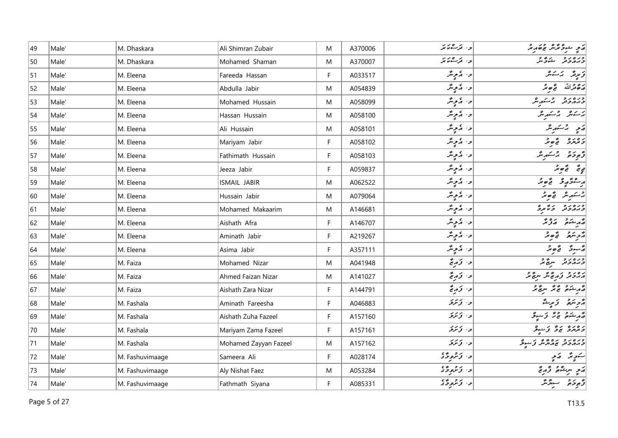| 49 | Male' | M. Dhaskara     | Ali Shimran Zubair    | M | A370006 | وستمر شملائيل                       | - 102020 10202                                                                                                                                                                                                                                                                                                   |
|----|-------|-----------------|-----------------------|---|---------|-------------------------------------|------------------------------------------------------------------------------------------------------------------------------------------------------------------------------------------------------------------------------------------------------------------------------------------------------------------|
| 50 | Male' | M. Dhaskara     | Mohamed Shaman        | M | A370007 | ى · تەركىمىتىكە                     | ورەرو شەھ                                                                                                                                                                                                                                                                                                        |
| 51 | Male' | M. Eleena       | Fareeda Hassan        | F | A033517 | د <sub>ا</sub> کرم <sub>ی</sub> نگر | تخيينتر الماشكس                                                                                                                                                                                                                                                                                                  |
| 52 | Male' | M. Eleena       | Abdulla Jabir         | M | A054839 | د . م د پر                          | أَصَاهَ مَنْ سَنَ صَحْبَ                                                                                                                                                                                                                                                                                         |
| 53 | Male' | M. Eleena       | Mohamed Hussain       | M | A058099 | د . م د پر                          | ورەرو جەسكىرىش                                                                                                                                                                                                                                                                                                   |
| 54 | Male' | M. Eleena       | Hassan Hussain        | M | A058100 | د . گرمویتر                         | يركنا المراكبه الكرامل                                                                                                                                                                                                                                                                                           |
| 55 | Male' | M. Eleena       | Ali Hussain           | M | A058101 | د . گرمونتر                         | ە ئەسەر                                                                                                                                                                                                                                                                                                          |
| 56 | Male' | M. Eleena       | Mariyam Jabir         | F | A058102 | د . مرموسرٌ                         | و وره و و                                                                                                                                                                                                                                                                                                        |
| 57 | Male' | M. Eleena       | Fathimath Hussain     | F | A058103 | د . گرمونتر                         | ا تو بر د<br>ا                                                                                                                                                                                                                                                                                                   |
| 58 | Male' | M. Eleena       | Jeeza Jabir           | F | A059837 | د . گرمونتر                         | $\begin{array}{cc} \mathbf{1}_{\mathbf{1}_{\mathbf{1}}} & \mathbf{1}_{\mathbf{1}_{\mathbf{1}}} \\ \mathbf{1}_{\mathbf{1}_{\mathbf{1}}} & \mathbf{1}_{\mathbf{1}_{\mathbf{1}}} \\ \mathbf{1}_{\mathbf{1}_{\mathbf{1}}} & \mathbf{1}_{\mathbf{1}_{\mathbf{1}}} & \mathbf{1}_{\mathbf{1}_{\mathbf{1}}} \end{array}$ |
| 59 | Male' | M. Eleena       | <b>ISMAIL JABIR</b>   | M | A062522 | د به کم پیگر                        | وستتجرجه<br>يځ ن تر<br>قع حر                                                                                                                                                                                                                                                                                     |
| 60 | Male' | M. Eleena       | Hussain Jabir         | M | A079064 | د . گرمونتر                         | بزسكر مره فأحوس                                                                                                                                                                                                                                                                                                  |
| 61 | Male' | M. Eleena       | Mohamed Makaarim      | M | A146681 | د . مرمویتر                         | ورەر د<br><i>دى</i> رمەتر<br>ىر ئەسمەر                                                                                                                                                                                                                                                                           |
| 62 | Male' | M. Eleena       | Aishath Afra          | F | A146707 | د با مړينگر                         | و ان المستحق المركز من                                                                                                                                                                                                                                                                                           |
| 63 | Male' | M. Eleena       | Aminath Jabir         | F | A219267 | د کا کار پنگ                        | $\begin{array}{cc} \overline{1} & 1 & 1 \\ 1 & 1 & 1 \\ 1 & 1 & 1 \end{array}$                                                                                                                                                                                                                                   |
| 64 | Male' | M. Eleena       | Asima Jabir           | F | A357111 | د· گرمچینگر                         | ويسوقر في حد                                                                                                                                                                                                                                                                                                     |
| 65 | Male' | M. Faiza        | Mohamed Nizar         | M | A041948 | و· ۆَرِجٌ                           | כמחכת תשת                                                                                                                                                                                                                                                                                                        |
| 66 | Male' | M. Faiza        | Ahmed Faizan Nizar    | M | A141027 | والمتماديح                          | وودد زرءٌ مر سرة لا                                                                                                                                                                                                                                                                                              |
| 67 | Male' | M. Faiza        | Aishath Zara Nizar    | F | A144791 | د . دَرِیجَ                         | و مشور و است می برای می                                                                                                                                                                                                                                                                                          |
| 68 | Male' | M. Fashala      | Aminath Fareesha      | F | A046883 | ى كەترى                             | أزويتم وتبريث                                                                                                                                                                                                                                                                                                    |
| 69 | Male' | M. Fashala      | Aishath Zuha Fazeel   | F | A157160 | وسى كمنكر                           | ەر ئىسكە ئەن كەن ئو                                                                                                                                                                                                                                                                                              |
| 70 | Male' | M. Fashala      | Mariyam Zama Fazeel   | F | A157161 | ى كەترى                             | دەرە بۇ ئەيگ                                                                                                                                                                                                                                                                                                     |
| 71 | Male' | M. Fashala      | Mohamed Zayyan Fazeel | M | A157162 | وسى كمنكر                           | ورەرو رەپە ئەسكى                                                                                                                                                                                                                                                                                                 |
| 72 | Male' | M. Fashuvimaage | Sameera Ali           | F | A028174 | و· ۇ ئرەپچى                         | سكوند الكو                                                                                                                                                                                                                                                                                                       |
| 73 | Male' | M. Fashuvimaage | Aly Nishat Faez       | M | A053284 | <sub>و</sub> . ئۇ ترەۋ ئى           |                                                                                                                                                                                                                                                                                                                  |
| 74 | Male' | M. Fashuvimaage | Fathmath Siyana       | F | A085331 | و· ۆترۈۋى                           | قَ و د قسم المستقر                                                                                                                                                                                                                                                                                               |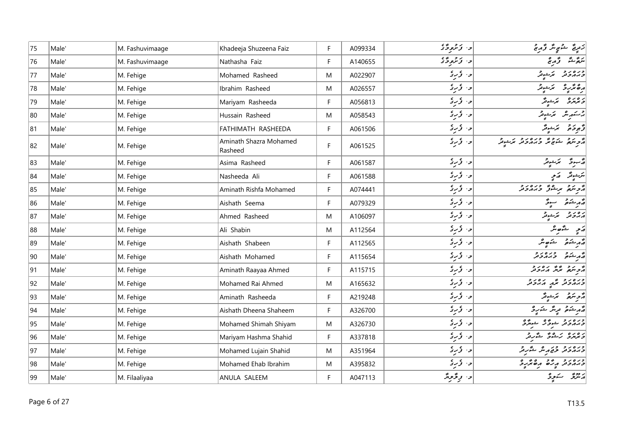| 75 | Male' | M. Fashuvimaage | Khadeeja Shuzeena Faiz            | F         | A099334 | و· ۇ ئرەۋ ۋ                        | زَمِرِيعٌ ۖ حَمْيٍ مَرَّ وَّ مِنْ ۖ                                            |
|----|-------|-----------------|-----------------------------------|-----------|---------|------------------------------------|--------------------------------------------------------------------------------|
| 76 | Male' | M. Fashuvimaage | Nathasha Faiz                     | F         | A140655 | د· ۇ ترەۋ ئ                        | أسترقوش ترمرمي                                                                 |
| 77 | Male' | M. Fehige       | Mohamed Rasheed                   | ${\sf M}$ | A022907 | <sub>ح</sub> . تۇر <sub>ى</sub> ج  | وره رو گرشوند<br>در در کار                                                     |
| 78 | Male' | M. Fehige       | Ibrahim Rasheed                   | M         | A026557 | <sub>ح</sub> . ئۇر <sub>ى</sub>    | أرەنۇر ئىسىم                                                                   |
| 79 | Male' | M. Fehige       | Mariyam Rasheeda                  | F         | A056813 | ه . ڈرئ                            | د ۱۳ پر مرکز پر                                                                |
| 80 | Male' | M. Fehige       | Hussain Rasheed                   | M         | A058543 | د· ڈربر                            | 2سكىرىنىڭ مۇھمۇقى                                                              |
| 81 | Male' | M. Fehige       | FATHIMATH RASHEEDA                | F         | A061506 | و، ئۇرۇ                            | أراموخاما المتحصر                                                              |
| 82 | Male' | M. Fehige       | Aminath Shazra Mohamed<br>Rasheed | F         | A061525 | <sub>و</sub> . ڈری                 | ه رو روه وره دو رو به د                                                        |
| 83 | Male' | M. Fehige       | Asima Rasheed                     | F         | A061587 | <sub>ح</sub> . ئۇر <sub>ى</sub> ج  |                                                                                |
| 84 | Male' | M. Fehige       | Nasheeda Ali                      | F         | A061588 | د . ۇرد                            |                                                                                |
| 85 | Male' | M. Fehige       | Aminath Rishfa Mohamed            | F         | A074441 | د· ۇربۇ                            | د دو ده وره دورو<br>مرح مرشوفي وبرمرد                                          |
| 86 | Male' | M. Fehige       | Aishath Seema                     | F         | A079329 | ه . ڈری <sup>م</sup> ی             | أوه مشوقو المسوقة                                                              |
| 87 | Male' | M. Fehige       | Ahmed Rasheed                     | M         | A106097 | د· ڈربز                            | رەر تەرىپىدە<br>مەركىر كەشپەر                                                  |
| 88 | Male' | M. Fehige       | Ali Shabin                        | ${\sf M}$ | A112564 | و· ڈر <sub>ند</sub> ی              | $\begin{array}{cc} \circ & \circ & \circ \\ \circ & \circ & \circ \end{array}$ |
| 89 | Male' | M. Fehige       | Aishath Shabeen                   | F         | A112565 | ه . ڈری <sup>م</sup> ی             |                                                                                |
| 90 | Male' | M. Fehige       | Aishath Mohamed                   | F         | A115654 | ه ۱۰ تۈرى<br>م                     | أثم المشكرة المحتمدة والمحمدة                                                  |
| 91 | Male' | M. Fehige       | Aminath Raayaa Ahmed              | F         | A115715 | د . ڈر <sub>ن</sub> ڈ              | أثر برو المحمد المار والمحمد                                                   |
| 92 | Male' | M. Fehige       | Mohamed Rai Ahmed                 | ${\sf M}$ | A165632 | ه . ڈرڈ                            | ورەرو په دەرو                                                                  |
| 93 | Male' | M. Fehige       | Aminath Rasheeda                  | F         | A219248 | و· ڈری                             | أأزحر تكره وترافير                                                             |
| 94 | Male' | M. Fehige       | Aishath Dheena Shaheem            | F         | A326700 | ه . ڈرڈ                            | و ديدو مرسم خريده<br>مرسمونو مرسم خريده                                        |
| 95 | Male' | M. Fehige       | Mohamed Shimah Shiyam             | ${\sf M}$ | A326730 | ه ۱۰ تۈرى<br>م                     | ورەرو جوۇر جەدۇر                                                               |
| 96 | Male' | M. Fehige       | Mariyam Hashma Shahid             | F         | A337818 | و، ۇرۇ                             | رەرە رەپ شەر                                                                   |
| 97 | Male' | M. Fehige       | Mohamed Lujain Shahid             | M         | A351964 | ه<br>د کريز                        | ورورو ورمر كريد                                                                |
| 98 | Male' | M. Fehige       | Mohamed Ehab Ibrahim              | M         | A395832 | و، ۇر <sub>ى</sub> ج               | כמחכת תמם תסתיק                                                                |
| 99 | Male' | M. Filaaliyaa   | ANULA SALEEM                      | F         | A047113 | د· وِگ <sup>و</sup> گ <sup>ا</sup> | پر پژیخت سکوچری                                                                |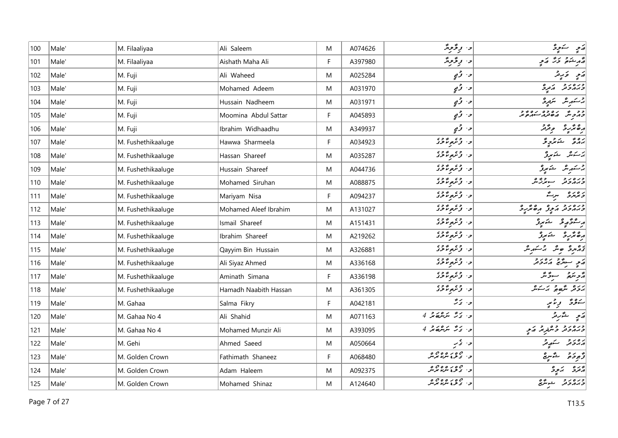| 100 | Male' | M. Filaaliyaa      | Ali Saleem            | ${\sf M}$ | A074626 | د· وِدْوِيْر                                               | ړې خود                                             |
|-----|-------|--------------------|-----------------------|-----------|---------|------------------------------------------------------------|----------------------------------------------------|
| 101 | Male' | M. Filaaliyaa      | Aishath Maha Ali      | F         | A397980 | د. وِدَّدِيَّ                                              |                                                    |
| 102 | Male' | M. Fuji            | Ali Waheed            | ${\sf M}$ | A025284 | و· تۇيچ                                                    | ەكىي ئەرەر                                         |
| 103 | Male' | M. Fuji            | Mohamed Adeem         | M         | A031970 | و· تۇيچ                                                    | ورەرو رو                                           |
| 104 | Male' | M. Fuji            | Hussain Nadheem       | M         | A031971 | ا پر کوي                                                   | جر <u>س</u> ے م <i>ہ</i> میں                       |
| 105 | Male' | M. Fuji            | Moomina Abdul Sattar  | F         | A045893 | و· تۇيچ                                                    | ره وه ره دو<br>پره توپر سوپر د<br>د د بر<br>د د بر |
| 106 | Male' | M. Fuji            | Ibrahim Widhaadhu     | M         | A349937 | و· تۇيچ                                                    | ەر ھەترىر <i>3</i><br>وترتر                        |
| 107 | Male' | M. Fushethikaaluge | Hawwa Sharmeela       | F         | A034923 | د . د د عروجو تا و د .<br>د . د ترجو تا نود                | برەپچ<br>شە ئۈچە ئۇ                                |
| 108 | Male' | M. Fushethikaaluge | Hassan Shareef        | M         | A035287 | د . ژنگه په دې                                             | برسەيىتە<br>مشكرو                                  |
| 109 | Male' | M. Fushethikaaluge | Hussain Shareef       | M         | A044736 | د . ژ ژ <sub>مونا</sub> و ،                                | ير سەر سىر ئىسىرى                                  |
| 110 | Male' | M. Fushethikaaluge | Mohamed Siruhan       | M         | A088875 | د . ژ ئر <sub>مو</sub> ر ژ د ،                             | و ر ه ر و<br>و پر پر <del>و</del> تر               |
| 111 | Male' | M. Fushethikaaluge | Mariyam Nisa          | F         | A094237 | د . ژگر <sub>مو</sub> رگردی<br>د . ژگرم <sub>و</sub> رگردی | ر ه ر ه<br><del>د</del> بربرگ                      |
| 112 | Male' | M. Fushethikaaluge | Mohamed Aleef Ibrahim | M         | A131027 | د . ژ ئر <sub>مو</sub> ر ژ د ،                             | כנסנב גבר תפתוב                                    |
| 113 | Male' | M. Fushethikaaluge | Ismail Shareef        | ${\sf M}$ | A151431 | د . ژگر <sub>مو</sub> رگردی<br>د . ژگرمو <sup>ر</sup> گردی | ىر مەئىچ مەغ<br>ے مور <sup>9</sup>                 |
| 114 | Male' | M. Fushethikaaluge | Ibrahim Shareef       | M         | A219262 | د . ژ تر <sub>مو</sub> تا و ،                              | رەنزىر ئىبر                                        |
| 115 | Male' | M. Fushethikaaluge | Qayyim Bin Hussain    | M         | A326881 | د . و <i>نگه با د</i> ه                                    | تمرمرد ومر بر خمر مر                               |
| 116 | Male' | M. Fushethikaaluge | Ali Siyaz Ahmed       | M         | A336168 | د . ژ ئر <sub>مو</sub> ر ژ د ،                             | د موجود ده در د                                    |
| 117 | Male' | M. Fushethikaaluge | Aminath Simana        | F         | A336198 | د . ژنگه په دې                                             | ر محمد پر دیگر<br>مرکز مرکز مرکز<br>سىۋىتر<br>—    |
| 118 | Male' | M. Fushethikaaluge | Hamadh Naabith Hassan | M         | A361305 | د . ژن <i>گه پاره</i> د                                    | رره شهر و رکس                                      |
| 119 | Male' | M. Gahaa           | Salma Fikry           | F         | A042181 | و· ئەگ                                                     | رىرە ئ<br>و رژمېر                                  |
| 120 | Male' | M. Gahaa No 4      | Ali Shahid            | M         | A071163 | و. ئەڭ سەھەم 4                                             | ړې شرېر                                            |
| 121 | Male' | M. Gahaa No 4      | Mohamed Munzir Ali    | ${\sf M}$ | A393095 | و. ئەڭ سەھەم 4                                             | ورەرو ومزرعه كمر                                   |
| 122 | Male' | M. Gehi            | Ahmed Saeed           | ${\sf M}$ | A050664 | وسميء                                                      | رەر دىمبەر                                         |
| 123 | Male' | M. Golden Crown    | Fathimath Shaneez     | F         | A068480 | ە ئەمەرەمەرە<br>جەنبى ئەمەن ئەر                            | ۇ بوز ئ                                            |
| 124 | Male' | M. Golden Crown    | Adam Haleem           | M         | A092375 | ە ئەمەدەم ئەرەك ئەرەر<br>ئەسىرى ئىرىدىكى ئىرىد             | پور ہ<br>پر تعری<br>برَموِدْ                       |
| 125 | Male' | M. Golden Crown    | Mohamed Shinaz        | ${\sf M}$ | A124640 | ە ئەمەم ھەم ھەر<br>جەن ئەمەم ئەمەر بىر                     | ورەرو ھەرە                                         |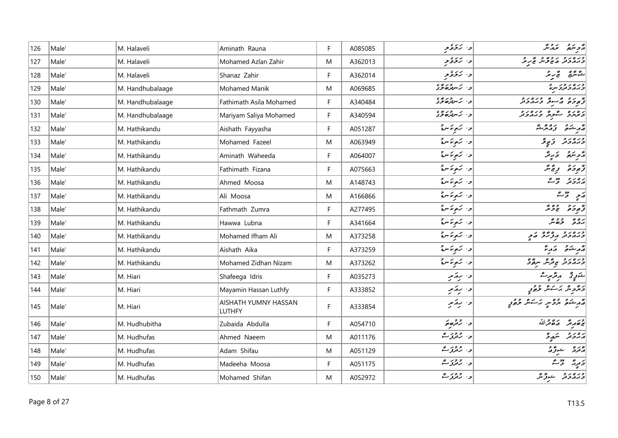|     | Male' | M. Halaveli      | Aminath Rauna                  | F  | A085085 | <mark>ى ئەنزە</mark> ب                               | أزويته بمدشر                               |
|-----|-------|------------------|--------------------------------|----|---------|------------------------------------------------------|--------------------------------------------|
| 126 |       |                  |                                |    |         |                                                      |                                            |
| 127 | Male' | M. Halaveli      | Mohamed Azlan Zahir            | M  | A362013 | وسترقرة مو                                           | ورەر د درد د پر                            |
| 128 | Male' | M. Halaveli      | Shanaz Zahir                   | F  | A362014 | وسترقرة و                                            | شَرْمَرْجَ تَحْرِيْرُ                      |
| 129 | Male' | M. Handhubalaage | <b>Mohamed Manik</b>           | M  | A069685 | و . که سرچر <i>ه و .</i><br>و . که سرچر <i>ه و</i> د | ورەر ور<br>دېرمروتروسرى                    |
| 130 | Male' | M. Handhubalaage | Fathimath Asila Mohamed        | F. | A340484 | و . که سرچر <i>ه و ،</i>                             | د دو و دره دورو<br>د وده ماسوژ وره دو      |
| 131 | Male' | M. Handhubalaage | Mariyam Saliya Mohamed         | F. | A340594 | ا د . که سرچر <i>ه څ</i> ر                           | כמתכ גימי בגבנים                           |
| 132 | Male' | M. Hathikandu    | Aishath Fayyasha               | F. | A051287 | د ۰ سکه د تم سره                                     | أقرم شوه ومره شر                           |
| 133 | Male' | M. Hathikandu    | Mohamed Fazeel                 | M  | A063949 | د ۰ سکيږيد ته د                                      | ورەرو زېږ                                  |
| 134 | Male' | M. Hathikandu    | Aminath Waheeda                | F. | A064007 | د · رَموماً ميني ٌ                                   | أأدح المتمريح وأراقه                       |
| 135 | Male' | M. Hathikandu    | Fathimath Fizana               | F  | A075663 | ح- ئە <sub>م</sub> رىئەس <sup>ى</sup>                | أواقبوخا وبالمحامل                         |
| 136 | Male' | M. Hathikandu    | Ahmed Moosa                    | M  | A148743 | د <sub>:</sub> ر <sub>ک</sub> ویاسهٔ                 | دەر دەھتە                                  |
| 137 | Male' | M. Hathikandu    | Ali Moosa                      | M  | A166866 | ح <sup>.</sup> سڪ پر ماسي <sup>ع</sup>               | پر دی م                                    |
| 138 | Male' | M. Hathikandu    | Fathmath Zumra                 | F  | A277495 | <mark>و، ئەرىئەت</mark>                              | $707$ $799$                                |
| 139 | Male' | M. Hathikandu    | Hawwa Lubna                    | F  | A341664 | <mark>و، ئەرىئەت</mark>                              | ره ده دور                                  |
| 140 | Male' | M. Hathikandu    | Mohamed Ifham Ali              | M  | A373258 | <sub>ح</sub> . سَعِيدَ ملمع                          |                                            |
| 141 | Male' | M. Hathikandu    | Aishath Aika                   | F  | A373259 | ر. ئەرىئەر                                           |                                            |
| 142 | Male' | M. Hathikandu    | Mohamed Zidhan Nizam           | M  | A373262 | ح- ئە <sub>م</sub> رىئەس <sup>ى</sup>                |                                            |
| 143 | Male' | M. Hiari         | Shafeega Idris                 | F. | A035273 | <i>وسيرمي</i> ر                                      | شَورٍ تَنْ رَوْرَ يِرْ -                   |
| 144 | Male' | M. Hiari         | Mayamin Hassan Luthfy          | F. | A333852 | وسيرتمبر                                             | دو ه پرکار دو                              |
| 145 | Male' | M. Hiari         | AISHATH YUMNY HASSAN<br>LUTHFY | F  | A333854 | وسريرسمبر                                            | أَمَّ مِشْهُمْ أَمْرُوسٍ بَرْسَسٌ وَجْرَبٍ |
| 146 | Male' | M. Hudhubitha    | Zubaida Abdulla                | F. | A054710 | و رقومي                                              | تج صَمَّ مَنْ صَمَّرْ اللَّهُ              |
| 147 | Male' | M. Hudhufas      | Ahmed Naeem                    | M  | A011176 | ى بەردىر ھ                                           | أرور والمتهاد                              |
| 148 | Male' | M. Hudhufas      | Adam Shifau                    | M  | A051129 | ى بە ئەرى <i>ق ش</i>                                 | وره شوژه.<br>منزد شوژه                     |
| 149 | Male' | M. Hudhufas      | Madeeha Moosa                  | F  | A051175 | و . روز ژگ                                           | دَ پِرِ مَسَمَّ                            |
| 150 | Male' | M. Hudhufas      | Mohamed Shifan                 | M  | A052972 | و . رتوژ ک                                           | ورەرو ھۆش                                  |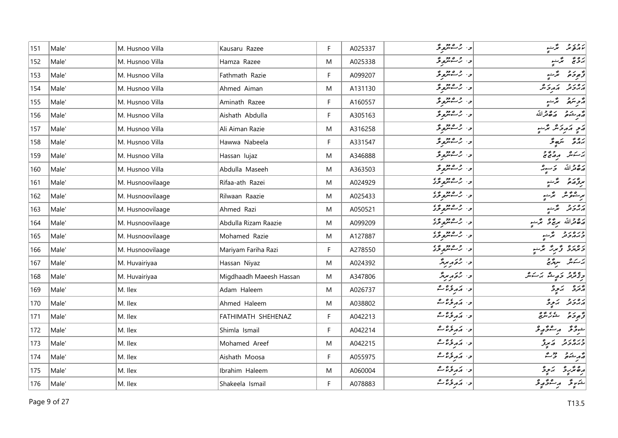| 151 | Male' | M. Husnoo Villa  | Kausaru Razee           | F           | A025337 | <sub>و</sub> . رمشتر <sub>و</sub> ۇ       | ىر جەيز<br>مارشى ئىر<br>بمرتسو                         |
|-----|-------|------------------|-------------------------|-------------|---------|-------------------------------------------|--------------------------------------------------------|
| 152 | Male' | M. Husnoo Villa  | Hamza Razee             | M           | A025338 | - ر <sup>و</sup> سرمبرو گر                | برونج                                                  |
| 153 | Male' | M. Husnoo Villa  | Fathmath Razie          | F           | A099207 | <sub>و</sub> . رُئەمت <sub>ىۋ</sub> ۇ     | و مرد د<br>افراد مرد م                                 |
| 154 | Male' | M. Husnoo Villa  | Ahmed Aiman             | M           | A131130 | د. رژ شرموژ                               | بر 2 بر 1<br>م <i>ر</i> بر <del>5</del> تر<br>مەمەرىشە |
| 155 | Male' | M. Husnoo Villa  | Aminath Razee           | F           | A160557 | د. رژشته مربوعه                           | تھونے<br>مرکبے<br>أرمز سرة                             |
| 156 | Male' | M. Husnoo Villa  | Aishath Abdulla         | $\mathsf F$ | A305163 | <sub>و</sub> . رُئەمش <sub>ىر</sub> ۇ     | مُ مشموع مُ صَحْرَاللّه                                |
| 157 | Male' | M. Husnoo Villa  | Ali Aiman Razie         | M           | A316258 | <sub>و</sub> . رُئے مِت <sub>عو</sub> مَّ | أړنې ډېرد نګر ټرېنې                                    |
| 158 | Male' | M. Husnoo Villa  | Hawwa Nabeela           | $\mathsf F$ | A331547 | د. رژ شریو و گ                            | رە ئىھۇ                                                |
| 159 | Male' | M. Husnoo Villa  | Hassan lujaz            | M           | A346888 | - يەممبرى<br>مەسىر يەمبرى                 | برسكانكر المروروج                                      |
| 160 | Male' | M. Husnoo Villa  | Abdulla Maseeh          | M           | A363503 | د. رژ شهره ژ                              | أشكاه تحريد                                            |
| 161 | Male' | M. Husnoovilaage | Rifaa-ath Razei         | M           | A024929 | د. ژگستره دی                              | ىر ئۇ ھەمى                                             |
| 162 | Male' | M. Husnoovilaage | Rilwaan Raazie          | M           | A025433 | د ده دو ده<br>د رسومبرونور                | ىرىشوقە تەپتىر                                         |
| 163 | Male' | M. Husnoovilaage | Ahmed Razi              | M           | A050521 | د. رژیمبروتور                             | رەرد گرىنو<br>مەردىر گرىنو                             |
| 164 | Male' | M. Husnoovilaage | Abdulla Rizam Raazie    | M           | A099209 | د. رژگی پیمبر پور                         | وَحْقَقْدَاللّهُ سِيَّحْرَ مُدَّسِّهِ                  |
| 165 | Male' | M. Husnoovilaage | Mohamed Razie           | M           | A127887 |                                           | وره رو گرب                                             |
| 166 | Male' | M. Husnoovilaage | Mariyam Fariha Razi     | F           | A278550 | د . ر مشروع د ،<br>د . ر مشروع د          | دەرە ۋىر ئىن                                           |
| 167 | Male' | M. Huvairiyaa    | Hassan Niyaz            | M           | A024392 | د زوکرېږمبر                               | ىر كەش سەرتىنى                                         |
| 168 | Male' | M. Huvairiyaa    | Migdhaadh Maeesh Hassan | M           | A347806 | - رحوكم بروگر                             | وووو دريو ټرخمر                                        |
| 169 | Male' | M. Ilex          | Adam Haleem             | M           | A026737 | د . مَهْرِ عُدْ -                         | أرتره برود                                             |
| 170 | Male' | M. Ilex          | Ahmed Haleem            | M           | A038802 | د . مەمرىم م                              | رەرد بەدە                                              |
| 171 | Male' | M. Ilex          | FATHIMATH SHEHENAZ      | F           | A042213 | <sub>د ، مەبر دىم م</sub>                 | ژ <sub>ە</sub> رە شەرىپى                               |
| 172 | Male' | M. Ilex          | Shimla Ismail           | $\mathsf F$ | A042214 | د . مَهْرِ پُرو و                         | جروى پر جۇيرو                                          |
| 173 | Male' | M. Ilex          | Mohamed Areef           | M           | A042215 | <sub>ح</sub> . مَه بِحَدْ ع               | ورەرو كەيدۇ                                            |
| 174 | Male' | M. Ilex          | Aishath Moosa           | $\mathsf F$ | A055975 | د . مەمرىز ئاگ                            | أوكر شده وحركم                                         |
| 175 | Male' | M. Ilex          | Ibrahim Haleem          | M           | A060004 | ه . م. م. ع. ه.                           | رەپرىر بەرد                                            |
| 176 | Male' | M. Ilex          | Shakeela Ismail         | F           | A078883 | د . مَهْرِ عُدْ -                         | أشربة وعقوبة                                           |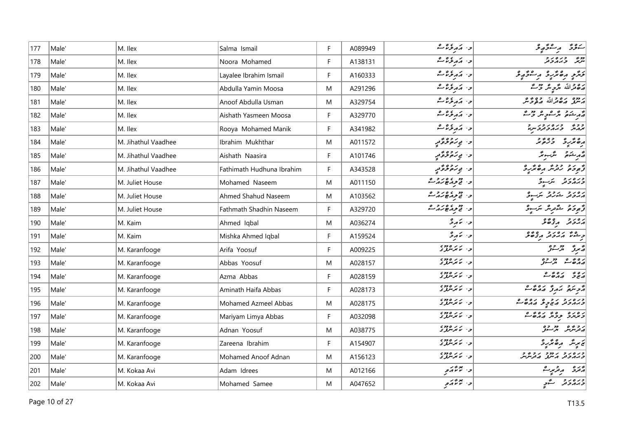| 177 | Male' | M. Ilex             | Salma Ismail              | F  | A089949 | <i>ەن مەم</i> ۇرى                   | سەۋۋە مەسىۋەتى                                                           |
|-----|-------|---------------------|---------------------------|----|---------|-------------------------------------|--------------------------------------------------------------------------|
| 178 | Male' | M. Ilex             | Noora Mohamed             | F. | A138131 | د . مَهْ بِرْدْ مْ                  | دوره وره رو<br>سرگر وبرمرونر                                             |
| 179 | Male' | M. Ilex             | Layalee Ibrahim Ismail    | F. | A160333 | <sub>ح</sub> . مەمەنزىما ئ          | خترو معتربر مصرفوف                                                       |
| 180 | Male' | M. Ilex             | Abdulla Yamin Moosa       | M  | A291296 | <i>ە. مەم</i> ۇرى                   | مَ مِعْدَاللّهِ مُدَّجِ مِّرْ حَرْجَ                                     |
| 181 | Male' | M. Ilex             | Anoof Abdulla Usman       | M  | A329754 | د . مەمرىئو ئە                      | ر دوه بره د <sub>اللّه</sub> چ و د ه<br>مسرو صفرالله صف <sub>ر</sub> و ش |
| 182 | Male' | M. Ilex             | Aishath Yasmeen Moosa     | F  | A329770 | د . مەمرىم م                        | و مشروع مرکو میں مشرک                                                    |
| 183 | Male' | M. Ilex             | Rooya Mohamed Manik       | F  | A341982 | د . مَهْرِ دْ مْ                    | ככם כנסנכניתם<br>מגות במגבעביתם                                          |
| 184 | Male' | M. Jihathul Vaadhee | Ibrahim Mukhthar          | M  | A011572 | ر <sub>و م</sub> روه ژو پر          | دە ئۆرە دەپرو                                                            |
| 185 | Male' | M. Jihathul Vaadhee | Aishath Naasira           | F  | A101746 | و·   موٽوگوريد                      | ۇرمىشق ئىش ئى                                                            |
| 186 | Male' | M. Jihathul Vaadhee | Fathimath Hudhuna Ibrahim | F. | A343528 | و·   موٽرو ويرِ<br>و·   موٽرو وير   | و و ده در شهره و هند و                                                   |
| 187 | Male' | M. Juliet House     | Mohamed Naseem            | M  | A011150 | 2200000000000                       | ورەرو كرسو                                                               |
| 188 | Male' | M. Juliet House     | Ahmed Shahud Naseem       | M  | A103562 | בי בתחשינה                          | رەر دېدر دې گرسو                                                         |
| 189 | Male' | M. Juliet House     | Fathmath Shadhin Naseem   | F  | A329720 | כי <sub>בר</sub> בקרים ברגים        | وتجوخني الشمريش لترسوف                                                   |
| 190 | Male' | M. Kaim             | Ahmed Iqbal               | M  | A036274 | د . مأمرد                           | رەرو رەھو                                                                |
| 191 | Male' | M. Kaim             | Mishka Ahmed Iqbal        | F  | A159524 | د ، ئامرۋ                           | وشرع برورد بروهو                                                         |
| 192 | Male' | M. Karanfooge       | Arifa Yoosuf              | F. | A009225 | و . کا تر ۶۶۵<br>و . کا ترسرو د     | پرېتر د چېمنسونو                                                         |
| 193 | Male' | M. Karanfooge       | Abbas Yoosuf              | M  | A028157 | و . که تر ۶۶۵ و<br>و . که تیرسونی ی | ړه په در ده                                                              |
| 194 | Male' | M. Karanfooge       | Azma Abbas                | F  | A028159 | ر ر ر د ده<br>و . ر ر بر رو د       | 2501 301                                                                 |
| 195 | Male' | M. Karanfooge       | Aminath Haifa Abbas       | F. | A028173 | ر ر د ده ده<br>و . ما برس پی        | הכית התל החלם                                                            |
| 196 | Male' | M. Karanfooge       | Mohamed Azmeel Abbas      | M  | A028175 | و . که تر ۶۶۵ و                     | כנים ניכן בי ניסי פ                                                      |
| 197 | Male' | M. Karanfooge       | Mariyam Limya Abbas       | F  | A032098 | ر ر د دوه<br>و . ما برس و           | - 0 10 10 10 10 10                                                       |
| 198 | Male' | M. Karanfooge       | Adnan Yoosuf              | M  | A038775 | و . کا تر ۶۶۵<br>و . کا تر سربی ت   | بر دی <sub>گر</sub> مبر میں دور<br>مریز میں مرکسو                        |
| 199 | Male' | M. Karanfooge       | Zareena Ibrahim           | F  | A154907 | ر ر د ۲۶۵<br>و۰ ما برس پی           | ىمىيەتتىر مەھترىيەتى                                                     |
| 200 | Male' | M. Karanfooge       | Mohamed Anoof Adnan       | M  | A156123 | ر ر د ده ده<br>و ۰ ما برس و د       | כנסנים נחדש הכשיב<br>בההכנה הייטל, הבניילייל                             |
| 201 | Male' | M. Kokaa Avi        | Adam Idrees               | M  | A012166 | - پروبر<br>احس <sup>ور</sup> متماره | پژر ہ<br>پڑتر پ<br>ىر قرىر شە                                            |
| 202 | Male' | M. Kokaa Avi        | Mohamed Samee             | M  | A047652 | ح به سوند د بر<br>ح به سوند کرم     | و ر ه ر د<br>تر پر ژ تر<br>ستثمتي                                        |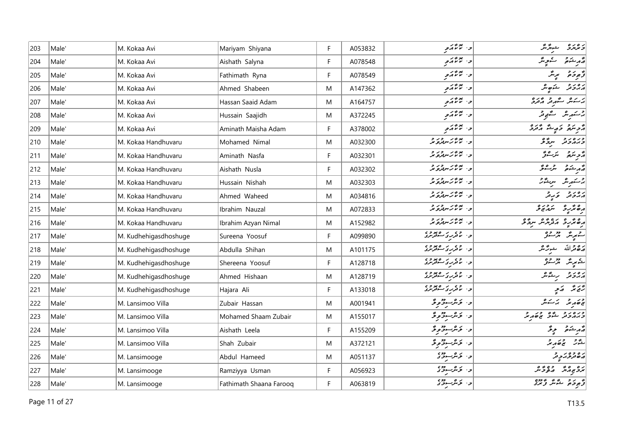| 203 | Male' | M. Kokaa Avi          | Mariyam Shiyana         | F           | A053832 | د به منه ده <sub>و</sub>                                                                                       | شەرگەنگر<br>ك<br>ر ه ر ه<br>تر بر بر |
|-----|-------|-----------------------|-------------------------|-------------|---------|----------------------------------------------------------------------------------------------------------------|--------------------------------------|
| 204 | Male' | M. Kokaa Avi          | Aishath Salyna          | F           | A078548 | ح بم عموم م                                                                                                    | وترمينونه                            |
| 205 | Male' | M. Kokaa Avi          | Fathimath Ryna          | $\mathsf F$ | A078549 | - مونړو                                                                                                        | و مرد د                              |
| 206 | Male' | M. Kokaa Avi          | Ahmed Shabeen           | M           | A147362 | - ئامۇمۇ                                                                                                       | رەرد خومىگر                          |
| 207 | Male' | M. Kokaa Avi          | Hassan Saaid Adam       | M           | A164757 | - پېژگړې                                                                                                       | يُرَسَمَّسُ سُمُرِيْرِ مُرْمَرِدِ    |
| 208 | Male' | M. Kokaa Avi          | Hussain Saajidh         | M           | A372245 | ح به عنونه کو                                                                                                  | چرىسىر شەھ بىر                       |
| 209 | Male' | M. Kokaa Avi          | Aminath Maisha Adam     | F           | A378002 | د به منه ده <sub>و</sub>                                                                                       | و دو در شه وره                       |
| 210 | Male' | M. Kokaa Handhuvaru   | Mohamed Nimal           | M           | A032300 | د . سیم شور در در در این کار در این کار در این کار در این کار در این کار در این کار در این کار در این کار در ا | ورەرو سرگەم                          |
| 211 | Male' | M. Kokaa Handhuvaru   | Aminath Nasfa           | F           | A032301 | ى سىم ئىس تەرىپى<br>ت                                                                                          | أأرمز المترافق                       |
| 212 | Male' | M. Kokaa Handhuvaru   | Aishath Nusla           | F           | A032302 | د . سی شمار در در د                                                                                            | ە ئەرىشكى ئىس ئىر                    |
| 213 | Male' | M. Kokaa Handhuvaru   | Hussain Nishah          | M           | A032303 | و . سی شرکت مرکز و بر                                                                                          | رحم المراكز المعربية في              |
| 214 | Male' | M. Kokaa Handhuvaru   | Ahmed Waheed            | M           | A034816 | و . سی شما شروع می                                                                                             | رەر <del>د</del> كەيدىگە             |
| 215 | Male' | M. Kokaa Handhuvaru   | Ibrahim Nauzal          | M           | A072833 | د . سیم شرکس پروتر و .<br>د . س س سرچری سر                                                                     | גە <i>גېر د سکەن</i> د               |
| 216 | Male' | M. Kokaa Handhuvaru   | Ibrahim Azyan Nimal     | M           | A152982 | پر پر پر در د<br>و۰ تا تا که برپرو پر                                                                          | رە ئرىر ئىزىر سرگە                   |
| 217 | Male' | M. Kudhehigasdhoshuge | Sureena Yoosuf          | F           | A099890 | و ، رو و د د و و د و د<br>و ، را فربر کا مسئولاترو                                                             | ا ش <sub>مبر</sub> یئر بر مرد و در   |
| 218 | Male' | M. Kudhehigasdhoshuge | Abdulla Shihan          | M           | A101175 | و به عموم د محمد و د ا<br>د به عموم د کار محمد مورد                                                            | چەقراللە ھو <i>رتى</i><br>           |
| 219 | Male' | M. Kudhehigasdhoshuge | Shereena Yoosuf         | F           | A128718 | و ۱۰ موک <i>ر رو تاور</i> و د<br>د ۱۰ موکر رو سوترمرو                                                          | شومریٹر در دو                        |
| 220 | Male' | M. Kudhehigasdhoshuge | Ahmed Hishaan           | M           | A128719 | و به وې د مرکز ده ده د د د کاله د د د د لار د د د لار د د د د لار د د د د لار د د د د د لار د د د د لار د د د  | دەرو بەشەر                           |
| 221 | Male' | M. Kudhehigasdhoshuge | Hajara Ali              | F           | A133018 | و ۱۰ موکر رو مور و د<br>د ۱۰ موکر رو سوفرس                                                                     | لتفقيم المكمج                        |
| 222 | Male' | M. Lansimoo Villa     | Zubair Hassan           | M           | A001941 | د . ئەنگەسىز ئوقر                                                                                              | تم مريز برسكير                       |
| 223 | Male' | M. Lansimoo Villa     | Mohamed Shaam Zubair    | M           | A155017 |                                                                                                                |                                      |
| 224 | Male' | M. Lansimoo Villa     | Aishath Leela           | F           | A155209 | د· ئۇنگرىسىۋە ئە                                                                                               | أورشني ببرقه                         |
| 225 | Male' | M. Lansimoo Villa     | Shah Zubair             | M           | A372121 | ە ئەنگەسىزە ئە                                                                                                 | 3.002                                |
| 226 | Male' | M. Lansimooge         | Abdul Hameed            | M           | A051137 | د .  ئۇنگرىسىزدى<br>ر                                                                                          | ر ه د ه ر د د<br>ماه مرکز د د        |
| 227 | Male' | M. Lansimooge         | Ramziyya Usman          | F           | A056923 | و . ئۇنگرىسىزى<br>ب                                                                                            | גם פיצ בפיצים                        |
| 228 | Male' | M. Lansimooge         | Fathimath Shaana Farooq | F           | A063819 | د . ئۇنگرىسىزدى<br>ر                                                                                           | ۇ بەر قىشىش ئۇنىزە                   |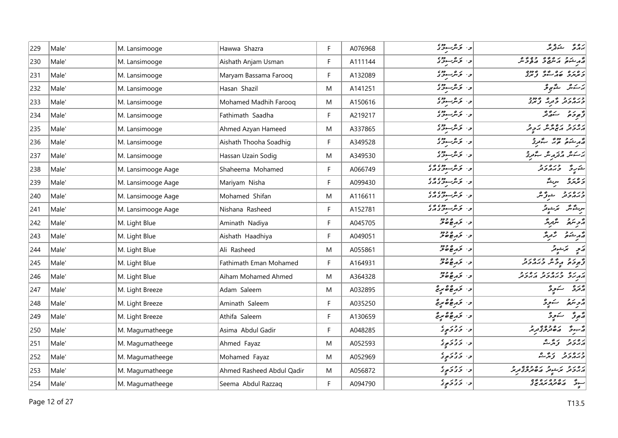| 229 | Male' | M. Lansimooge      | Hawwa Shazra              | F           | A076968 | <sub>و</sub> . ئۇنئ <sup>ۇر</sup> م <sup>ورى</sup> | رەپ <sub>ە</sub> شەۋرىگە                               |
|-----|-------|--------------------|---------------------------|-------------|---------|----------------------------------------------------|--------------------------------------------------------|
| 230 | Male' | M. Lansimooge      | Aishath Anjam Usman       | F           | A111144 | <sub>و</sub> . ئۇنئ <sup>ۇر</sup> م <sup>ورى</sup> | ه د شرح د ه ده و و و ه ه<br>ما د شوی ما سرچار امامور س |
| 231 | Male' | M. Lansimooge      | Maryam Bassama Farooq     | $\mathsf F$ | A132089 | د . ئۇنگەر دە ،<br>ب                               | נ סנים נים שיבי שיבים<br>בינות כי בייב ציביב           |
| 232 | Male' | M. Lansimooge      | Hasan Shazil              | M           | A141251 | د . ئۇنگرىسىزدى<br>ب                               | ىز سەش ھەيم تو                                         |
| 233 | Male' | M. Lansimooge      | Mohamed Madhih Farooq     | M           | A150616 | د کوټور ده<br>ر کوټور                              | כנסגב בנקל במב                                         |
| 234 | Male' | M. Lansimooge      | Fathimath Saadha          | $\mathsf F$ | A219217 | د . کورگرده دوم<br>ر                               | أو برو برويو                                           |
| 235 | Male' | M. Lansimooge      | Ahmed Azyan Hameed        | M           | A337865 | د کوټور ده<br>د کوټور                              | גם גם גם גם הבבת<br>הגבת האתית הבת                     |
| 236 | Male' | M. Lansimooge      | Aishath Thooha Soadhig    | $\mathsf F$ | A349528 | د . ئۇنگرىسىزدى<br>ب                               |                                                        |
| 237 | Male' | M. Lansimooge      | Hassan Uzain Sodig        | M           | A349530 | د . ئۈشرود .<br> د . ئۈشرود                        | برسەنگە ئەقرىرىگە سەمرىتى                              |
| 238 | Male' | M. Lansimooge Aage | Shaheema Mohamed          | F           | A066749 | و .  نۇپىر روم دى<br>د .  نۇپىر روم دى             | أشكريح ورورة                                           |
| 239 | Male' | M. Lansimooge Aage | Mariyam Nisha             | F           | A099430 | و . نوکسروی دی<br>و . نوکسروی دی                   | و وره سرتگ                                             |
| 240 | Male' | M. Lansimooge Aage | Mohamed Shifan            | M           | A116611 | و . نوشر دو .<br>و . نوشر دو د د د                 | و ر ه ر د<br>تر پر تر تر<br>ے وگر نگر                  |
| 241 | Male' | M. Lansimooge Aage | Nishana Rasheed           | F           | A152781 | و . نوشر دو .<br>و . نوشر دو د د د                 | سِرِڪُسُّ مَرَڪونُرُ                                   |
| 242 | Male' | M. Light Blue      | Aminath Nadiya            | $\mathsf F$ | A045705 | כ צו פיני                                          | ړٌ پر سَرَ سَرُ پر                                     |
| 243 | Male' | M. Light Blue      | Aishath Haadhiya          | F           | A049051 | כי <sub>م</sub> حدہ 2005<br>כי <i>ה</i> ת          | دگر شکھ گرمرنگر                                        |
| 244 | Male' | M. Light Blue      | Ali Rasheed               | M           | A055861 | כ· <sub>م</sub> حدة 200                            | كالمح المخاطبون                                        |
| 245 | Male' | M. Light Blue      | Fathimath Eman Mohamed    | F           | A164931 | أوستحدق فالمحفوظ                                   | و دو پروس وره دو                                       |
| 246 | Male' | M. Light Blue      | Aiham Mohamed Ahmed       | M           | A364328 | $rac{3386}{500}$                                   | ג גם כגם גם גם גב<br>ג'ג'ב בגגבת ג'גבת                 |
| 247 | Male' | M. Light Breeze    | Adam Saleem               | M           | A032895 | د کرموه مربح                                       | پژ <sub>مر</sub> ه<br>د ترو<br>ستهور                   |
| 248 | Male' | M. Light Breeze    | Aminath Saleem            | $\mathsf F$ | A035250 | وستجمره وهمريح                                     | ۇ جە ئىدە<br>م<br>سەَرِدْ                              |
| 249 | Male' | M. Light Breeze    | Athifa Saleem             | F           | A130659 | وسترم فالمحمد                                      | رمجوڙ<br>سەرد                                          |
| 250 | Male' | M. Magumatheege    | Asima Abdul Gadir         | F           | A048285 | - رور ع<br>و· ورومي                                | و موځ ده ده وه پورته                                   |
| 251 | Male' | M. Magumatheege    | Ahmed Fayaz               | M           | A052593 | ر بروبر ع<br>د بروبر ع                             | رەرد روپ                                               |
| 252 | Male' | M. Magumatheege    | Mohamed Fayaz             | M           | A052969 | د . د د د .<br>د . د د د د <sub>و</sub> د          | ورەر دېگر ش                                            |
| 253 | Male' | M. Magumatheege    | Ahmed Rasheed Abdul Qadir | M           | A056872 | $rac{1}{55555}$                                    | ره رو برخونر ماه ده د په د                             |
| 254 | Male' | M. Magumatheege    | Seema Abdul Razzaq        | F           | A094790 | -<br> و۰ ورومي                                     | سرد ده ده ده ده و                                      |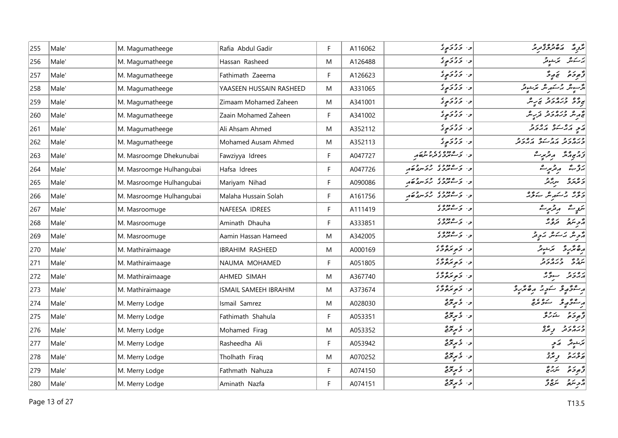| 255 | Male' | M. Magumatheege          | Rafia Abdul Gadir       | F         | A116062 | و . زود م<br> و . ژوژه <sub>ی</sub>                        | بمروش ما مود و معرضا                                                                                                   |
|-----|-------|--------------------------|-------------------------|-----------|---------|------------------------------------------------------------|------------------------------------------------------------------------------------------------------------------------|
| 256 | Male' | M. Magumatheege          | Hassan Rasheed          | M         | A126488 | -<br> - د د د د م <sub>و</sub> د                           | <br>  يركسكر   الكركسيولر                                                                                              |
| 257 | Male' | M. Magumatheege          | Fathimath Zaeema        | F         | A126623 | -- رور ع<br><mark>و۰ وروم</mark> ور                        | توجو يتحصف تجامياته                                                                                                    |
| 258 | Male' | M. Magumatheege          | YAASEEN HUSSAIN RASHEED | M         | A331065 | — رور<br> و۰ ورومړ                                         | ەگەسەھ جاسكىرىكى ئەشەقر                                                                                                |
| 259 | Male' | M. Magumatheege          | Zimaam Mohamed Zaheen   | M         | A341001 | ر بروبر ع<br>ح• څوکومونو                                   | و ده دره د د کار مر                                                                                                    |
| 260 | Male' | M. Magumatheege          | Zaain Mohamed Zaheen    | F         | A341002 | ر بروبر ع<br>ح• څوکومونو                                   | ځمه په وره ده ور په                                                                                                    |
| 261 | Male' | M. Magumatheege          | Ali Ahsam Ahmed         | M         | A352112 | ر در ر<br>د گروه د د                                       | ה גם גם גם גם                                                                                                          |
| 262 | Male' | M. Magumatheege          | Mohamed Ausam Ahmed     | M         | A352113 | و . و و د مي<br>و . و د و ه <sub>و</sub> د                 | כנסנכ נבנס נסנכ<br>כממכת ממייכ ממכת                                                                                    |
| 263 | Male' | M. Masroomge Dhekunubai  | Fawziyya Idrees         | F         | A047727 | ه در ۲۵ وه ده ده و در در برخور<br>د ۱۰ کال مرد در در برخور | تر می مه مهم می می در می کنید.<br>در می در می می کنید و می کنید و می کنید و می کنید و می کنید و می کنید و می کنید و می |
| 264 | Male' | M. Masroomge Hulhangubai | Hafsa Idrees            | F         | A047726 | و . و سمبرو و در دور<br>و . و سمبرو و مؤسوع هم             | پروٹ پروٹریٹ                                                                                                           |
| 265 | Male' | M. Masroomge Hulhangubai | Mariyam Nihad           | F         | A090086 | ر د ۵۶۶۵ در در در                                          | سورگو<br>ر ه ر ه<br>تر بر بر                                                                                           |
| 266 | Male' | M. Masroomge Hulhangubai | Malaha Hussain Solah    | F         | A161756 | ر د ورووه ورسود.<br>د کستوری رکمنده                        | دوو رمير عروه                                                                                                          |
| 267 | Male' | M. Masroomuge            | NAFEESA IDREES          | F         | A111419 | و . که سووه و<br>و . که سوپرو د                            | سَمِيتٌ پرشيرت                                                                                                         |
| 268 | Male' | M. Masroomuge            | Aminath Dhauha          | F         | A333851 | و . کو سووه و<br>و . کو سومرو و                            | جر سرح دره بر                                                                                                          |
| 269 | Male' | M. Masroomuge            | Aamin Hassan Hameed     | ${\sf M}$ | A342005 | و . که سووه و<br>و . که سوبرو د                            | مٌ و مګر ټر سر ټر پر و تر                                                                                              |
| 270 | Male' | M. Mathiraimaage         | IBRAHIM RASHEED         | M         | A000169 | وسره و پره و و                                             | رە ئۇرۇ بۇيدۇر                                                                                                         |
| 271 | Male' | M. Mathiraimaage         | NAUMA MOHAMED           | F         | A051805 |                                                            | سرژیڅ<br>و رە ر د<br>تر پر تر تر                                                                                       |
| 272 | Male' | M. Mathiraimaage         | AHMED SIMAH             | M         | A367740 | و کو مره وي                                                | رەرد سەۋە                                                                                                              |
| 273 | Male' | M. Mathiraimaage         | ISMAIL SAMEEH IBRAHIM   | M         | A373674 | د کو مگوره ده<br>د کومگوره                                 | ر جۇ يۇ جۇ يەھ بەھلەپ                                                                                                  |
| 274 | Male' | M. Merry Lodge           | Ismail Samrez           | M         | A028030 |                                                            | وسشوتم يو                                                                                                              |
| 275 | Male' | M. Merry Lodge           | Fathimath Shahula       | F         | A053351 | و٠ وګېږيونه                                                | أزُّبِرِدَةُ شَرَرْدُ                                                                                                  |
| 276 | Male' | M. Merry Lodge           | Mohamed Firaq           | ${\sf M}$ | A053352 | و٠ وګېږيوه                                                 | ورەرو پەر                                                                                                              |
| 277 | Male' | M. Merry Lodge           | Rasheedha Ali           | F         | A053942 | و٠ وګېږ <del>و</del> نو                                    | پَرۡشِیوَنَّہُ ﴾ پَرۡمِ                                                                                                |
| 278 | Male' | M. Merry Lodge           | Tholhath Firaq          | M         | A070252 | <sub>و</sub> . <sub>گ</sub> ېږ <i>دو</i> نځ                | ر ه ر د<br>ج <del>ز</del> بر م<br>ويژڈ                                                                                 |
| 279 | Male' | M. Merry Lodge           | Fathmath Nahuza         | F         | A074150 | و٠ وګېږ <del>و</del> نو                                    | سرويح<br>ا تو پر پر د                                                                                                  |
| 280 | Male' | M. Merry Lodge           | Aminath Nazfa           | F         | A074151 | و· ۇىرىژى                                                  | أأترجم للمعاقر                                                                                                         |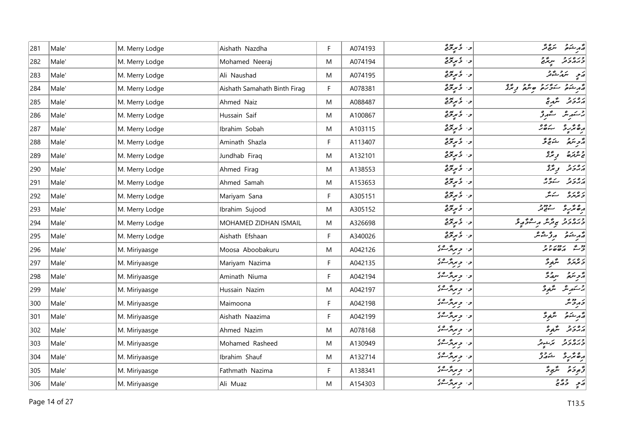| 281 | Male' | M. Merry Lodge | Aishath Nazdha               | F         | A074193 | وستح مربحرقي                                  | أقهر شده مره قر                                        |
|-----|-------|----------------|------------------------------|-----------|---------|-----------------------------------------------|--------------------------------------------------------|
| 282 | Male' | M. Merry Lodge | Mohamed Neeraj               | M         | A074194 | و ، د عروق                                    | وبرور و سرپره                                          |
| 283 | Male' | M. Merry Lodge | Ali Naushad                  | M         | A074195 | و که عرفته                                    | أوسم المتمر والمحمد                                    |
| 284 | Male' | M. Merry Lodge | Aishath Samahath Binth Firag | F         | A078381 | و که عرفرقع                                   | ورشنو رورد والعملم وللمح                               |
| 285 | Male' | M. Merry Lodge | Ahmed Naiz                   | M         | A088487 | و که عرفرقع                                   | برەرو شهرى                                             |
| 286 | Male' | M. Merry Lodge | Hussain Saif                 | M         | A100867 | والمحموقوقع                                   | چە سەر سەر ئەر                                         |
| 287 | Male' | M. Merry Lodge | Ibrahim Sobah                | M         | A103115 | و٠ وګېږونو                                    | $\frac{1}{2}$                                          |
| 288 | Male' | M. Merry Lodge | Aminath Shazla               | F         | A113407 | و٠ وګېږ <del>و</del> نو                       | $\frac{201}{200}$                                      |
| 289 | Male' | M. Merry Lodge | Jundhab Firaq                | ${\sf M}$ | A132101 | وستح مربحرقي                                  | ا قے سر <del>برے</del><br>ويژة                         |
| 290 | Male' | M. Merry Lodge | Ahmed Firag                  | M         | A138553 | و٠ وګېږونو                                    | و گرگر<br>و گرگر<br>بر ه بر د<br>م. <i>ب</i> رو تر     |
| 291 | Male' | M. Merry Lodge | Ahmed Samah                  | M         | A153653 | و٠ وګېږيونو                                   | سەۋر<br>پرور و                                         |
| 292 | Male' | M. Merry Lodge | Mariyam Sana                 | F         | A305151 | و٠ وګېږيوه                                    | ر ه ر ه<br><del>ر</del> بر بر و<br>سەتىر               |
| 293 | Male' | M. Merry Lodge | Ibrahim Sujood               | M         | A305152 | <sub>و</sub> . <sub>ځ</sub> ېږون <sub>ې</sub> | دەنزىرە سى <i>ق</i> ەتر<br>بەھىرىرە سى <i>ق</i> ەتر    |
| 294 | Male' | M. Merry Lodge | MOHAMED ZIDHAN ISMAIL        | M         | A326698 | و· ڈىرچىمى<br>                                | כגופני <sub>ביציע</sub> <sub>ו הס</sub> פוב            |
| 295 | Male' | M. Merry Lodge | Aishath Efshaan              | F         | A340026 | و٠ وګېږيوه                                    | أقهر شؤة أمرقر شذمتر                                   |
| 296 | Male' | M. Miriyaasge  | Moosa Aboobakuru             | M         | A042126 | او و پروژه ده                                 | 77/200/22                                              |
| 297 | Male' | M. Miriyaasge  | Mariyam Nazima               | F         | A042135 | د· دېروگرمنۍ<br>ر                             | ر ه بر ه<br>د بربر <i>د</i><br>سَّنْهُ تَرَ            |
| 298 | Male' | M. Miriyaasge  | Aminath Niuma                | F         | A042194 | د <sub>و برم</sub> ژگ <sub>ر</sub> ی          | سرچينې<br>ومحر يتمده                                   |
| 299 | Male' | M. Miriyaasge  | Hussain Nazim                | M         | A042197 | او . و بو پورٹ دی<br>اب                       | سَّرْهُ رُ<br>جەسە<br>يەسەر بىر                        |
| 300 | Male' | M. Miriyaasge  | Maimoona                     | F         | A042198 | او . و بورگرده ؟<br>است.                      | ر دوند<br>د د د ش                                      |
| 301 | Male' | M. Miriyaasge  | Aishath Naazima              | F         | A042199 | د· دېرگ <sup>0</sup> نگو                      | پ <sup>ر</sup> ديگرد ج                                 |
| 302 | Male' | M. Miriyaasge  | Ahmed Nazim                  | M         | A078168 | د· دېرمرگورۍ<br>ر                             | رەرد شھرى                                              |
| 303 | Male' | M. Miriyaasge  | Mohamed Rasheed              | M         | A130949 | او . و بورگرده ؟<br>است.                      | ورەرو كەنبەتى                                          |
| 304 | Male' | M. Miriyaasge  | Ibrahim Shauf                | M         | A132714 | د· د بر پر مرد ک                              | أرە يۇر ھ                                              |
| 305 | Male' | M. Miriyaasge  | Fathmath Nazima              | F.        | A138341 | د و پر پر دی<br>د و پر پر گ                   | ومجموحهم<br>يتزبيرتخ                                   |
| 306 | Male' | M. Miriyaasge  | Ali Muaz                     | ${\sf M}$ | A154303 | و و پروگروي<br>د ا                            | $\begin{pmatrix} 2 & 2 & 2 \\ 2 & 2 & 2 \end{pmatrix}$ |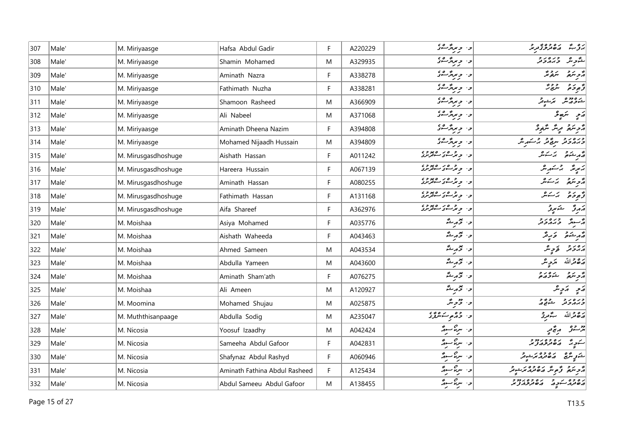| 307 | Male' | M. Miriyaasge       | Hafsa Abdul Gadir             | F           | A220229 | $rac{1}{2}$                                        | ره په په دوه په د                                                 |
|-----|-------|---------------------|-------------------------------|-------------|---------|----------------------------------------------------|-------------------------------------------------------------------|
| 308 | Male' | M. Miriyaasge       | Shamin Mohamed                | M           | A329935 | د و برېژگو <sup>ي</sup>                            | و رە ر د<br>تر پروتر<br> شَرْحِ سُر                               |
| 309 | Male' | M. Miriyaasge       | Aminath Nazra                 | F           | A338278 |                                                    | أأترجع التنفي                                                     |
| 310 | Male' | M. Miriyaasge       | Fathimath Nuzha               | F           | A338281 | او، وبرو <u>گروء</u><br>ڪرير                       | ۇ بور د<br>سرچ گ                                                  |
| 311 | Male' | M. Miriyaasge       | Shamoon Rasheed               | M           | A366909 | د· دېرمرگوري<br>سربر                               | شەھ بەر بەر بەر بەر                                               |
| 312 | Male' | M. Miriyaasge       | Ali Nabeel                    | M           | A371068 | ا د ۱۰ و بورو دی.<br>است                           | أوسم المتعاقب                                                     |
| 313 | Male' | M. Miriyaasge       | Aminath Dheena Nazim          | F           | A394808 |                                                    | وحريرة وبدا للمود                                                 |
| 314 | Male' | M. Miriyaasge       | Mohamed Nijaadh Hussain       | M           | A394809 | و٠ و بروگروی                                       | כנסני תפעל האולקית                                                |
| 315 | Male' | M. Mirusgasdhoshuge | Aishath Hassan                | F.          | A011242 | و ۱۰ و بر ۱۰ و پروان<br>و ۱۰ و بر سوی سوتورنوی     | أقهر منشوق برسكوس                                                 |
| 316 | Male' | M. Mirusgasdhoshuge | Hareera Hussain               | F           | A067139 | و۰ و برگرو کرده و د                                | يرىرىگە برگسىمبەش                                                 |
| 317 | Male' | M. Mirusgasdhoshuge | Aminath Hassan                | F           | A080255 | و . ۔ جا بر سر مرد و د<br>ح ، ۔ جا بھر سر سوفر مرد | أترج سكتمر المركب تكسر                                            |
| 318 | Male' | M. Mirusgasdhoshuge | Fathimath Hassan              | F           | A131168 | و . و ترک و د ه د و د .<br>و . و ترک و گوهر        | ۇچ <sub>ر</sub> دۇ بەسكىر                                         |
| 319 | Male' | M. Mirusgasdhoshuge | Aifa Shareef                  | $\mathsf F$ | A362976 | و . ۔ و تر ے د میرو ،<br>و . ۔ و تر سور سوتر مرد   | أركبر وتح المستورقر                                               |
| 320 | Male' | M. Moishaa          | Asiya Mohamed                 | F           | A035776 | والمحمرية                                          | و دره دره<br>مرسس ورود و                                          |
| 321 | Male' | M. Moishaa          | Aishath Waheeda               | F           | A043463 | وستخ برشگ                                          | أشهر مشكاتهم وأراقد                                               |
| 322 | Male' | M. Moishaa          | Ahmed Sameen                  | M           | A043534 | و. بخ پرینځه                                       | أرەر ئەچەر                                                        |
| 323 | Male' | M. Moishaa          | Abdulla Yameen                | M           | A043600 | ار. بی دیگه                                        | أرجع فكرالله المردحي مثلا                                         |
| 324 | Male' | M. Moishaa          | Aminath Sham'ath              | F           | A076275 | و. مخمر ک                                          | شەھ بەر 3<br>ۇ ئەسىر ئە                                           |
| 325 | Male' | M. Moishaa          | Ali Ameen                     | M           | A120927 | ار. نورځ                                           | پَه په په پروتک                                                   |
| 326 | Male' | M. Moomina          | Mohamed Shujau                | M           | A025875 | د به محتجز میگر                                    | وره ر و دو و<br><i>و بر دو</i> تر شو <sub>قع ه</sub>              |
| 327 | Male' | M. Muththisanpaage  | Abdulla Sodig                 | M           | A235047 |                                                    | صقعرالله<br>سيگە تورىچ                                            |
| 328 | Male' | M. Nicosia          | Yoosuf Izaadhy                | M           | A042424 | و . سرنگر سورگر                                    | دد ده<br>ارسوز دینمی                                              |
| 329 | Male' | M. Nicosia          | Sameeha Abdul Gafoor          | F           | A042831 | و . سرما مسور                                      | ر ده ده ده در در د                                                |
| 330 | Male' | M. Nicosia          | Shafynaz Abdul Rashyd         | $\mathsf F$ | A060946 | د. میرماییده<br>م                                  | شكور شيخ الده وه در شوند                                          |
| 331 | Male' | M. Nicosia          | Aminath Fathina Abdul Rasheed | F.          | A125434 | د . سرچ سوچگر                                      | ה היה לתיל הסינות איביל                                           |
| 332 | Male' | M. Nicosia          | Abdul Sameeu Abdul Gafoor     | M           | A138455 | د. میرنگ میوهٔ                                     | נס כם גב גם כם גדב <del>ם</del><br>השי <i>נות הפה ה</i> שיניכת בי |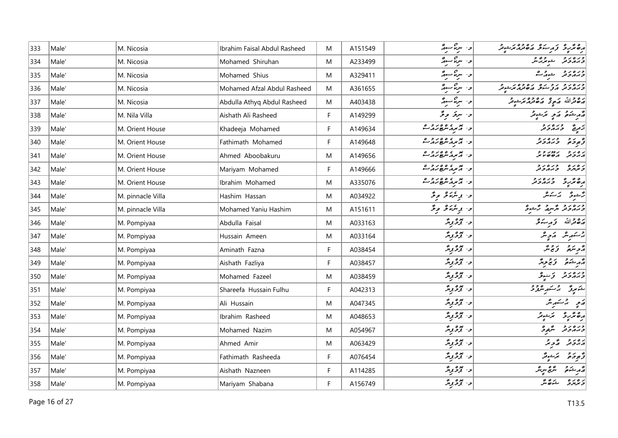| 333 | Male' | M. Nicosia        | Ibrahim Faisal Abdul Rasheed | M         | A151549 |                                    | رەپرىق زېربىكى مەدەبەت د                                      |
|-----|-------|-------------------|------------------------------|-----------|---------|------------------------------------|---------------------------------------------------------------|
| 334 | Male' | M. Nicosia        | Mohamed Shiruhan             | M         | A233499 | ه . سرچ سوړ                        | ورەرو ھەردە 2<br><mark>ۋىرەر</mark> وتى ھەردىس                |
| 335 | Male' | M. Nicosia        | Mohamed Shius                | ${\sf M}$ | A329411 | د. میرینا مسور                     | وره رو شوره                                                   |
| 336 | Male' | M. Nicosia        | Mohamed Afzal Abdul Rasheed  | M         | A361655 | و . سرر کار پیش                    | وره رو رو ره ره ده ده را<br>وبردونر دو شونو ده ترد برشونر     |
| 337 | Male' | M. Nicosia        | Abdulla Athyq Abdul Rasheed  | M         | A403438 | و . سرر کار پیش                    | رە داللە كەم ئى مەمەم مەشور.<br>مەھىراللە كەم ئى مەمەم مەشور. |
| 338 | Male' | M. Nila Villa     | Aishath Ali Rasheed          | F         | A149299 | ار. سرنز م <sub>وقت</sub>          | أقهر مشكاتها الكرام وتحرير                                    |
| 339 | Male' | M. Orient House   | Khadeeja Mohamed             | F         | A149634 | و معرد معروف                       | كتربع ورودرة                                                  |
| 340 | Male' | M. Orient House   | Fathimath Mohamed            | F         | A149648 | כי האת הפינה ב                     | و د دره دو                                                    |
| 341 | Male' | M. Orient House   | Ahmed Aboobakuru             | M         | A149656 | د معروف مورد ه                     | 22 1 33 1<br>J 4 4 6 6 1<br>ر ەر د                            |
| 342 | Male' | M. Orient House   | Mariyam Mohamed              | F         | A149666 | و معروبه موجود م                   | ر ه ر ه<br><del>د</del> بربرد<br>و پر و پر و<br>تر ټر ټر تعر  |
| 343 | Male' | M. Orient House   | Ibrahim Mohamed              | M         | A335076 | כי המה ייפיה ב                     | ور ەر د<br>تر <i>پر پ</i> ر تر<br>ەر ھەتمەر 2<br>س            |
| 344 | Male' | M. pinnacle Villa | Hashim Hassan                | M         | A034922 | د· برېنمىڭ مەڭر                    | رَّجْعَة كَاسَةَ مَرْ                                         |
| 345 | Male' | M. pinnacle Villa | Mohamed Yaniu Hashim         | M         | A151611 | د· ب <sub>و</sub> سم <i>ناڅ</i> وق | ورەرو گەرگە گىدۇ                                              |
| 346 | Male' | M. Pompiyaa       | Abdulla Faisal               | M         | A033163 | د بيوفرو پر                        | رەقمەللە قەربىگ                                               |
| 347 | Male' | M. Pompiyaa       | Hussain Ameen                | M         | A033164 | د بيووږمگه                         | 2 س <i>تمبر شهر مرکب</i> ر میگر                               |
| 348 | Male' | M. Pompiyaa       | Aminath Fazna                | F         | A038454 | د بيوفرېږ                          | أرتجه ترمي تر                                                 |
| 349 | Male' | M. Pompiyaa       | Aishath Fazliya              | F         | A038457 | د بيوه پوځ                         | أثار يشكاها وتجامياته                                         |
| 350 | Male' | M. Pompiyaa       | Mohamed Fazeel               | M         | A038459 | د بيووږمگه                         | ورەرو تەسو                                                    |
| 351 | Male' | M. Pompiyaa       | Shareefa Hussain Fulhu       | F         | A042313 | د بيوه پر                          | ىش <i>تېرۇ باشتېرىندى</i> رۇ                                  |
| 352 | Male' | M. Pompiyaa       | Ali Hussain                  | M         | A047345 | د بيوفرېژ                          | أمرس بمستمر يتمر                                              |
| 353 | Male' | M. Pompiyaa       | Ibrahim Rasheed              | ${\sf M}$ | A048653 | د· بُرْدْبُرِيَّرُ                 | ە ھەترىر <sup>ە</sup><br>ىركىسىيەتىر<br>ئ                     |
| 354 | Male' | M. Pompiyaa       | Mohamed Nazim                | M         | A054967 | د بيوفرېژگر                        | و رە ر د<br><i>د بر</i> گەر<br>سَّرَهُ رُ                     |
| 355 | Male' | M. Pompiyaa       | Ahmed Amir                   | ${\sf M}$ | A063429 | د بيوفرېږ                          | גם ג' ב"ב ב                                                   |
| 356 | Male' | M. Pompiyaa       | Fathimath Rasheeda           | F         | A076454 | ا د بود و و پژ                     | أراقوخا فالمتحفظة                                             |
| 357 | Male' | M. Pompiyaa       | Aishath Nazneen              | F         | A114285 | د بيوفرېژگر                        | ىئەمچ سرىئر<br>ړ د شو د                                       |
| 358 | Male' | M. Pompiyaa       | Mariyam Shabana              | F         | A156749 | د. برو بورگر                       | ر ہ ر ہ<br>تر <del>ب</del> ر بر تر<br>شەھ ئىر                 |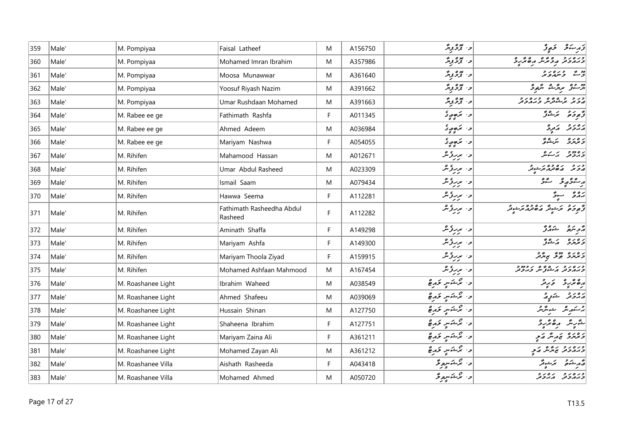| 359 | Male' | M. Pompiyaa        | Faisal Latheef                       | M  | A156750 | ر. بروبورمر                                                   | أَوَوْسِنَوْ أَوْرَةٍ وَ                                  |
|-----|-------|--------------------|--------------------------------------|----|---------|---------------------------------------------------------------|-----------------------------------------------------------|
| 360 | Male' | M. Pompiyaa        | Mohamed Imran Ibrahim                | M  | A357986 | د· بُزْدْ بِرِ ثَر                                            |                                                           |
| 361 | Male' | M. Pompiyaa        | Moosa Munawwar                       | M  | A361640 | ر. بروبورم                                                    | $31012$ $27$                                              |
| 362 | Male' | M. Pompiyaa        | Yoosuf Riyash Nazim                  | M  | A391662 | د. بودېورگه                                                   | ور وه بروژ شمور                                           |
| 363 | Male' | M. Pompiyaa        | Umar Rushdaan Mohamed                | M  | A391663 | ر. برد بورمر                                                  | ور و ۔ و ہے ورہ ر و<br>ہرچر برشوترس وبرہرچر               |
| 364 | Male' | M. Rabee ee ge     | Fathimath Rashfa                     | F  | A011345 | د· ئرھەرگە                                                    | وَّجِعَةٍ يَرَسُوَّرَ                                     |
| 365 | Male' | M. Rabee ee ge     | Ahmed Adeem                          | M  | A036984 | د سمهوره<br>  د سمهوره                                        | أرور و بر و                                               |
| 366 | Male' | M. Rabee ee ge     | Mariyam Nashwa                       | F  | A054055 | $\left  \begin{array}{cc} c & c \\ s & s \end{array} \right $ | رەرە سەشۇ                                                 |
| 367 | Male' | M. Rihifen         | Mahamood Hassan                      | M  | A012671 | اه . برروند<br>__________________                             | رەددە بەسەر                                               |
| 368 | Male' | M. Rihifen         | Umar Abdul Rasheed                   | M  | A023309 | ە <sub>سىرىر</sub> ۇند                                        | در د ره ده در شوتر<br>امرو بر مصرم بر شوتر                |
| 369 | Male' | M. Rihifen         | Ismail Saam                          | M  | A079434 | ار. بربرۇنگە                                                  | ر مؤرد و مشو                                              |
| 370 | Male' | M. Rihifen         | Hawwa Seema                          | F  | A112281 | ە بىرىدۇ ئىر                                                  | $\frac{2}{3}$ $\frac{2}{3}$                               |
| 371 | Male' | M. Rihifen         | Fathimath Rasheedha Abdul<br>Rasheed | F  | A112282 | د· بربروګر                                                    | و د و د مشوند ده وه د .<br>توجوده مر شوند هاه تره مر شوند |
| 372 | Male' | M. Rihifen         | Aminath Shaffa                       | F  | A149298 | د· بربروتکر                                                   | أزويتهم خلدتر                                             |
| 373 | Male' | M. Rihifen         | Mariyam Ashfa                        | F. | A149300 | ە بىرىدۇنلە                                                   | رەرە بەشۇ                                                 |
| 374 | Male' | M. Rihifen         | Mariyam Thoola Ziyad                 | F  | A159915 | ە بىرىدۇنلە                                                   | גם גם מצ"ב הוצב                                           |
| 375 | Male' | M. Rihifen         | Mohamed Ashfaan Mahmood              | M  | A167454 | و· بربروندگ                                                   | وره ر و بر ه ده ه بر ودود<br>د بربروتر بر شوتر سر وبروتر  |
| 376 | Male' | M. Roashanee Light | Ibrahim Waheed                       | M  | A038549 | أحاسم يمشكس تخديفي                                            | رە ئەر ئەر                                                |
| 377 | Male' | M. Roashanee Light | Ahmed Shafeeu                        | M  | A039069 | و. نرخوس څه و                                                 | رەرد شرد                                                  |
| 378 | Male' | M. Roashanee Light | Hussain Shinan                       | M  | A127750 | والمحمشوس خمره                                                | چرىكىرىش ئىسترىتى                                         |
| 379 | Male' | M. Roashanee Light | Shaheena Ibrahim                     | F  | A127751 | و، نجر شهر تزریح                                              | شور شهره مورد                                             |
| 380 | Male' | M. Roashanee Light | Mariyam Zaina Ali                    | F. | A361211 | وسيم شكور الحرار هي                                           |                                                           |
| 381 | Male' | M. Roashanee Light | Mohamed Zayan Ali                    | M  | A361212 | وسيم شكو التحمير فتحمير هج                                    |                                                           |
| 382 | Male' | M. Roashanee Villa | Aishath Rasheeda                     | F  | A043418 | <sub>د</sub> . ئ <sub>ى</sub> رىئەس <sub>رى</sub> رىگە        | ر<br>در شکور مرشونگر                                      |
| 383 | Male' | M. Roashanee Villa | Mohamed Ahmed                        | M  | A050720 | <sub>و</sub> . ئۇينۇمبرە ئ <sup>ۇ</sup>                       | وره ره ره رو<br><i>وب</i> ه <i>وبر ه</i> برونر            |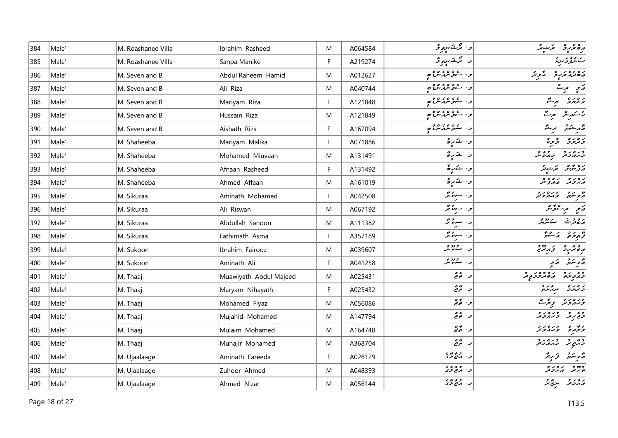| 384 | Male' | M. Roashanee Villa | Ibrahim Rasheed        | M  | A064584 | د . ئۇيغۇس <i>رە ۋ</i>     | رە ئەر ئەسىمى ئەسىر                                        |
|-----|-------|--------------------|------------------------|----|---------|----------------------------|------------------------------------------------------------|
| 385 | Male' | M. Roashanee Villa | Sanpa Manike           | F. | A219274 | د . ئۇينۇمبرە ئ            | ئەندۇر ئىبرى <i>ن</i>                                      |
| 386 | Male' | M. Seven and B     | Abdul Raheem Hamid     | M  | A012627 |                            | ره وه ر<br>در هزار برگرد<br>گر و تو                        |
| 387 | Male' | M. Seven and B     | Ali Riza               | M  | A040744 |                            | ړې برگ                                                     |
| 388 | Male' | M. Seven and B     | Mariyam Riza           | F  | A121848 | 90000000000                | رەرە برگ                                                   |
| 389 | Male' | M. Seven and B     | Hussain Riza           | M  | A121849 | ى سومدىر موە               | برستېرىش بېرىنگە                                           |
| 390 | Male' | M. Seven and B     | Aishath Riza           | F  | A167094 |                            | لصمر ينسمو<br>ىرىتە                                        |
| 391 | Male' | M. Shaheeba        | Mariyam Malika         | F  | A071886 | و ا ڪرير گا                | ر ه ر ه<br>د بربرگ<br>ۇدىئ                                 |
| 392 | Male' | M. Shaheeba        | Mohamed Miuvaan        | M  | A131491 | و· شَوَرِرَّةُ             | و ره ر و<br><i>د بر</i> پر تر<br>جەڭرىگە                   |
| 393 | Male' | M. Shaheeba        | Afnaan Rasheed         | F  | A131492 | و· شَوَرِرَّةُ             | أروشهر برجيد                                               |
| 394 | Male' | M. Shaheeba        | Ahmed Affaan           | M  | A161019 | وسنتكرة                    | رەرد رەپەر                                                 |
| 395 | Male' | M. Sikuraa         | Aminath Mohamed        | F  | A042508 | ە سىرتىر<br>م              | و ره ر د<br><i>د ب</i> رگرفر<br>أرمز بترة                  |
| 396 | Male' | M. Sikuraa         | Ali Riswan             | M  | A067192 | د. سورمچ                   | أەسم سىر ئەھمىر                                            |
| 397 | Male' | M. Sikuraa         | Abdullah Sanoon        | M  | A111382 | و . سىدىگە                 | برە تراللە<br>کے پیریگر                                    |
| 398 | Male' | M. Sikuraa         | Fathimath Asma         | F  | A357189 | وسائدته                    | أوجود بره و                                                |
| 399 | Male' | M. Sukoon          | Ibrahim Fairooz        | M  | A039607 | د . س <sup>ودو</sup> پر    | موه تر ده و مرجع                                           |
| 400 | Male' | M. Sukoon          | Aminath Ali            | F  | A041258 | د . س <sup>ودو ه</sup>     | أأدمتهم أأو                                                |
| 401 | Male' | M. Thaaj           | Muawiyath Abdul Majeed | M  | A025431 | و· گور                     | כש גב גם בסגב<br>כתקיתים השנקבב בת                         |
| 402 | Male' | M. Thaaj           | Maryam Nihayath        | F  | A025432 | و · حُوفي                  | ر ه ر ه<br><del>و</del> بربرو<br>سرشهره                    |
| 403 | Male' | M. Thaaj           | Mohamed Fiyaz          | M  | A056086 | و . گوفع<br>ح · گوفع       | ورەرو پەر                                                  |
| 404 | Male' | M. Thaaj           | Mujahid Mohamed        | M  | A147794 | و . حُوفي                  | و عربر العربر العربر العربر العرب<br>  و قاسر العربر العرب |
| 405 | Male' | M. Thaaj           | Mulaim Mohamed         | M  | A164748 | و· گور                     | و ره ر د<br><i>د ب</i> رگرفر<br>  ئەقەر ئ                  |
| 406 | Male' | M. Thaaj           | Muhajir Mohamed        | M  | A368704 | ح∙ حُوقع                   | و محمد وره دو                                              |
| 407 | Male' | M. Ujaalaage       | Aminath Fareeda        | F  | A026129 | و په وي.<br>و۰ هر وغوي     | أزويتم وتبيتر                                              |
| 408 | Male' | M. Ujaalaage       | Zuhoor Ahmed           | M  | A048393 | و په وي.<br>و۰ ه د څون     | و دو و<br>انحو <i>م</i> ر<br>پرەر د                        |
| 409 | Male' | M. Ujaalaage       | Ahmed Nizar            | M  | A056144 | و به وروي<br>و به مرقع توی | גם גב תגב                                                  |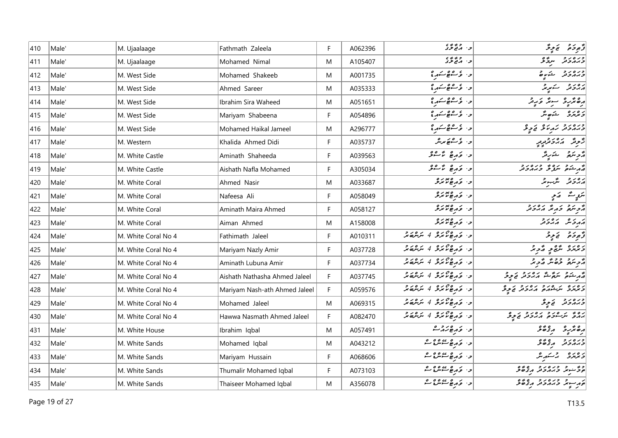| 410 | Male' | M. Ujaalaage        | Fathmath Zaleela              | F         | A062396 | و به وه و و<br>و به مرقع و د                                                                                                           | أزّودَهُ بَيَ يَبْرَ                                                                                                                                                                                                             |
|-----|-------|---------------------|-------------------------------|-----------|---------|----------------------------------------------------------------------------------------------------------------------------------------|----------------------------------------------------------------------------------------------------------------------------------------------------------------------------------------------------------------------------------|
| 411 | Male' | M. Ujaalaage        | Mohamed Nimal                 | M         | A105407 | و به وه و و<br>و به ان مو و                                                                                                            | و رە ر د<br>تر پر تر تر<br>سردگو                                                                                                                                                                                                 |
| 412 | Male' | M. West Side        | Mohamed Shakeeb               | M         | A001735 | د ، و شوه شهر و                                                                                                                        | و ره ر و<br>تر پر تر تر<br>$5 - 1$                                                                                                                                                                                               |
| 413 | Male' | M. West Side        | Ahmed Sareer                  | M         | A035333 | وسي وه و مرده                                                                                                                          | رەرو سەرو                                                                                                                                                                                                                        |
| 414 | Male' | M. West Side        | Ibrahim Sira Waheed           | M         | A051651 |                                                                                                                                        | رەقمەر ئەسىر ئەبەر                                                                                                                                                                                                               |
| 415 | Male' | M. West Side        | Mariyam Shabeena              | F         | A054896 | $\stackrel{o}{\sim} \stackrel{o}{\sim} \stackrel{o}{\sim} \stackrel{o}{\sim} \stackrel{o}{\sim} \stackrel{o}{\sim} \stackrel{o}{\sim}$ | رەرە خەھلگ                                                                                                                                                                                                                       |
| 416 | Male' | M. West Side        | Mohamed Haikal Jameel         | M         | A296777 | وسي هو هو شهر و                                                                                                                        | ورەرو رەرىۋە ج چ                                                                                                                                                                                                                 |
| 417 | Male' | M. Western          | Khalida Ahmed Didi            | F         | A035737 | ىر ، ئۇ <u>شۇغ</u> بىرىش                                                                                                               | تژوتر بر بر تر تر تر تر بر                                                                                                                                                                                                       |
| 418 | Male' | M. White Castle     | Aminath Shaheeda              | F         | A039563 | و· قەم قاشق                                                                                                                            | أأترج متعرقته                                                                                                                                                                                                                    |
| 419 | Male' | M. White Castle     | Aishath Nafla Mohamed         | F         | A305034 | و· قهره الأمسر                                                                                                                         | ه دشته سرور در در در د                                                                                                                                                                                                           |
| 420 | Male' | M. White Coral      | Ahmed Nasir                   | M         | A033687 | د ۰ <i>وَ دِ ۱۹۶۰ مرک</i>                                                                                                              | ره رو شهور                                                                                                                                                                                                                       |
| 421 | Male' | M. White Coral      | Nafeesa Ali                   | F         | A058049 | و· وَرِهِ مَعْ مَرْحَر                                                                                                                 | سَمَدٍ سَمَ = سَمَةٍ =                                                                                                                                                                                                           |
| 422 | Male' | M. White Coral      | Aminath Maira Ahmed           | F         | A058127 | و· وَرِهِ مُعَرَ و                                                                                                                     | הכיתם בגיב הבכת                                                                                                                                                                                                                  |
| 423 | Male' | M. White Coral      | Aiman Ahmed                   | ${\sf M}$ | A158008 | د که ۱۳۵۶ ور                                                                                                                           | התכית המכנק                                                                                                                                                                                                                      |
| 424 | Male' | M. White Coral No 4 | Fathimath Jaleel              | F         | A010311 | و· وَرِجِعْ مَرْحَمْ 4 سَرْسِمَة مَرْ                                                                                                  | أزجوخا وأفرقه                                                                                                                                                                                                                    |
| 425 | Male' | M. White Coral No 4 | Mariyam Nazly Amir            | F         | A037728 | ومتحده صمغر والمترس والمحمد                                                                                                            | د برمرد مرتبع و مرَّ د بر                                                                                                                                                                                                        |
| 426 | Male' | M. White Coral No 4 | Aminath Lubuna Amir           | F         | A037734 | و· وَمُعَامِرُو 4 سَرْسِهِ مَرْ                                                                                                        | أزويتهم وقائد أزوير                                                                                                                                                                                                              |
| 427 | Male' | M. White Coral No 4 | Aishath Nathasha Ahmed Jaleel | F         | A037745 | $ z - z_0  \leq 4$ مَرْسُ سَمَّرَتَ مِنْ                                                                                               |                                                                                                                                                                                                                                  |
| 428 | Male' | M. White Coral No 4 | Mariyam Nash-ath Ahmed Jaleel | F         | A059576 | $ z - z_0  \leq 4$ محمولاً $ z - z_0 $                                                                                                 | נים ניט ניט ניט לקבר בית האודי לא האודי לא האודי לקבר לא האודי לא האודי לא האודי לא האודי לא האודי לא האודי לא<br>האודי לא האודי לא האודי לא האודי לא האודי לא האודי לא האודי לא האודי לא האודי לא האודי לא האודי לא האודי לא הא |
| 429 | Male' | M. White Coral No 4 | Mohamed Jaleel                | M         | A069315 | ومن ومع يوم به سر من د                                                                                                                 | وبرورو كالمحي                                                                                                                                                                                                                    |
| 430 | Male' | M. White Coral No 4 | Hawwa Nasmath Ahmed Jaleel    | F         | A082470 | و· وَرِيحْ لَا يَرْ لَا يَرْ يَرْهِ يَرْ                                                                                               | رەپ رەرد رەرد چېرو                                                                                                                                                                                                               |
| 431 | Male' | M. White House      | Ibrahim Iqbal                 | M         | A057491 | د غږځ ځه ځم                                                                                                                            | رە ئرىر ئەھم                                                                                                                                                                                                                     |
| 432 | Male' | M. White Sands      | Mohamed Iqbal                 | M         | A043212 | ى ئۇم ھېشىش مە                                                                                                                         | כנסנכ הפיסיב                                                                                                                                                                                                                     |
| 433 | Male' | M. White Sands      | Mariyam Hussain               | F         | A068606 | ى ئۇم ھېرىيە مەم م                                                                                                                     | دەرە برىكەش                                                                                                                                                                                                                      |
| 434 | Male' | M. White Sands      | Thumalir Mohamed Iqbal        | F         | A073103 | - در وسط موروبه                                                                                                                        |                                                                                                                                                                                                                                  |
| 435 | Male' | M. White Sands      | Thaiseer Mohamed Iqbal        | M         | A356078 |                                                                                                                                        | 2000 - 2000 000 000                                                                                                                                                                                                              |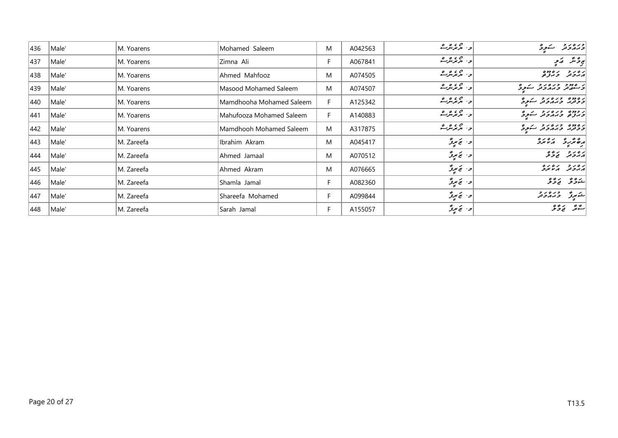| 436 | Male' | M. Yoarens | Mohamed Saleem           | M | A042563 | ى بىر ئىرىدىكى ئى   | <i>د بر ه ب</i> ر و<br>  <del>د</del> بر پر <del>د</del> ر<br>مستوفرو |
|-----|-------|------------|--------------------------|---|---------|---------------------|-----------------------------------------------------------------------|
| 437 | Male' | M. Yoarens | 'Zimna Ali               |   | A067841 | ى بىر ئۈرۈپ         | بر د مگر<br>وزمو                                                      |
| 438 | Male' | M. Yoarens | Ahmed Mahfooz            | M | A074505 | ى بىر ئۈرۈپ         | ره رو ده دوه<br>مدرس وبروه                                            |
| 439 | Male' | M. Yoarens | Masood Mohamed Saleem    | M | A074507 | ى بىر ئۈرگە         | كر ودود ورورد و كروه                                                  |
| 440 | Male' | M. Yoarens | Mamdhooha Mohamed Saleem | F | A125342 | ح به هر مرکب همر    | د ۱۵ ده ۱۵ د د د د د و                                                |
| 441 | Male' | M. Yoarens | Mahufooza Mohamed Saleem | F | A140883 | ى بىر ئۈرگە         | روده وره رو دره<br>  دبروه وبردونر سکود                               |
| 442 | Male' | M. Yoarens | Mamdhooh Mohamed Saleem  | M | A317875 | ح به هم چې پر هېو ک | ره دوه او دره داد و در و                                              |
| 443 | Male' | M. Zareefa | Ibrahim Akram            | M | A045417 | وسيم سرقر           | ە ھەترىر ۋ<br>برە برە                                                 |
| 444 | Male' | M. Zareefa | Ahmed Jamaal             | M | A070512 | وسيم سرقر           | ره رو دره و                                                           |
| 445 | Male' | M. Zareefa | Ahmed Akram              | M | A076665 | وسيم سرقر           | پر ۱۵ ر و<br>  <i>پر پ</i> ر <del>د</del> ر<br>بر را مورو             |
| 446 | Male' | M. Zareefa | Shamla Jamal             |   | A082360 | وسيم سرقر           | شۇرۇ<br>ر ۶ و<br>ق <del>ر</del> نو                                    |
| 447 | Male' | M. Zareefa | Shareefa Mohamed         | F | A099844 | و• ئج موقرٌ         | شەمرۇگ<br>و ره ر د<br>تر <i>پر</i> وتر                                |
| 448 | Male' | M. Zareefa | Sarah Jamal              |   | A155057 | و· ئم ئىرى <i>گ</i> | شهرٌ - خ و حر                                                         |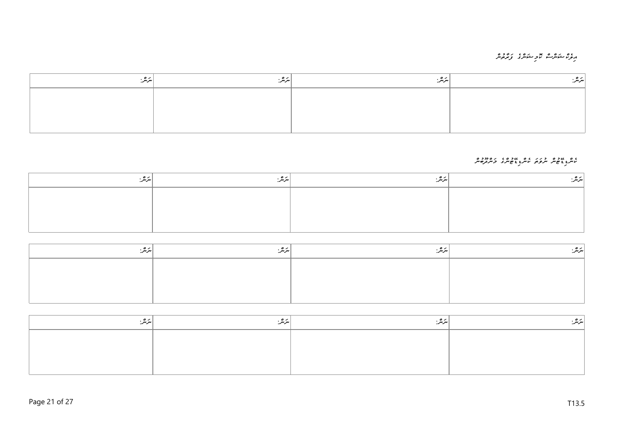## *w7qAn8m?sCw7mRo>u;wEw7mRw;sBo<*

| ' مرمر | 'يئرىثر: |
|--------|----------|
|        |          |
|        |          |
|        |          |

## *w7q9r@w7m>sCw7qHtFoFw7s;mAm=q7w7qHtFoFw7s;*

| ىر تە | $\mathcal{O} \times$<br>$\sim$ | $\sim$<br>. . | لترنثر |
|-------|--------------------------------|---------------|--------|
|       |                                |               |        |
|       |                                |               |        |
|       |                                |               |        |

| $\frac{2}{n}$ | $\overline{\phantom{a}}$ | اير هنه. | $\mathcal{O} \times$<br>سرسر |
|---------------|--------------------------|----------|------------------------------|
|               |                          |          |                              |
|               |                          |          |                              |
|               |                          |          |                              |

| ىرتىر: | 。<br>سر سر | .,<br>مرسر |
|--------|------------|------------|
|        |            |            |
|        |            |            |
|        |            |            |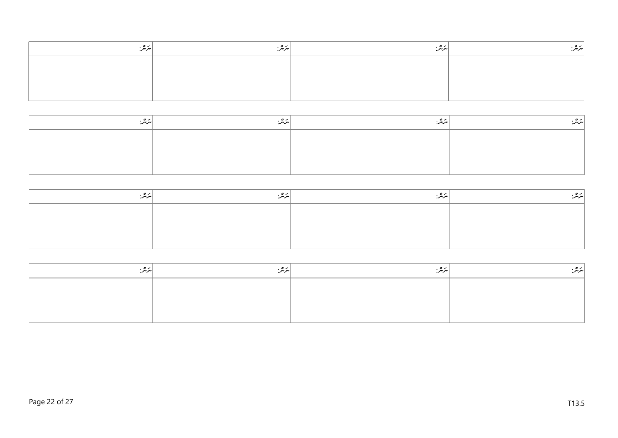| يزهر | $^{\circ}$ | ىئرىتر: |  |
|------|------------|---------|--|
|      |            |         |  |
|      |            |         |  |
|      |            |         |  |

| <sup>.</sup> سرسر. |  |
|--------------------|--|
|                    |  |
|                    |  |
|                    |  |

| ىئرىتر. | $\sim$ | ا بر هه. | لىرىش |
|---------|--------|----------|-------|
|         |        |          |       |
|         |        |          |       |
|         |        |          |       |

| 。<br>مرس. | $\overline{\phantom{a}}$<br>مر مىر | يتريثر |
|-----------|------------------------------------|--------|
|           |                                    |        |
|           |                                    |        |
|           |                                    |        |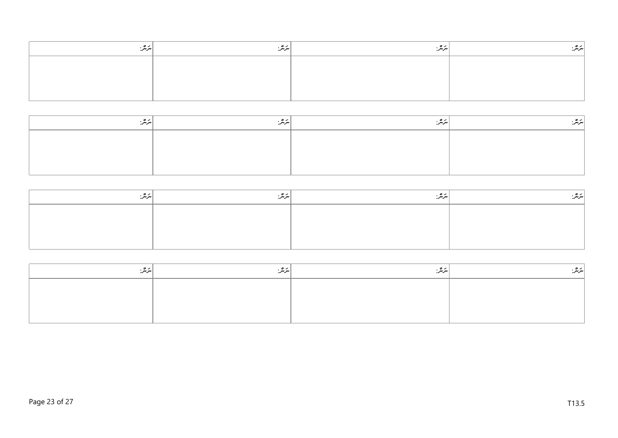| ير هو . | $\overline{\phantom{a}}$ | يرمر | اير هنه. |
|---------|--------------------------|------|----------|
|         |                          |      |          |
|         |                          |      |          |
|         |                          |      |          |

| ىر تىر: | $\circ$ $\sim$<br>" سرسر . | يترمير | o . |
|---------|----------------------------|--------|-----|
|         |                            |        |     |
|         |                            |        |     |
|         |                            |        |     |

| انترنثر: | ر ه |  |
|----------|-----|--|
|          |     |  |
|          |     |  |
|          |     |  |

|  | . ه |
|--|-----|
|  |     |
|  |     |
|  |     |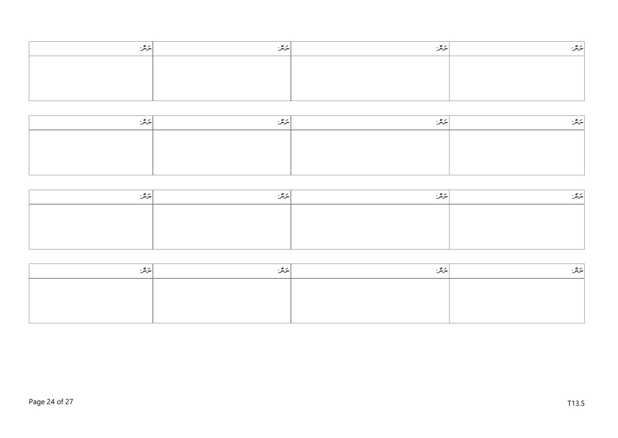| ير هو . | $\overline{\phantom{a}}$ | يرمر | اير هنه. |
|---------|--------------------------|------|----------|
|         |                          |      |          |
|         |                          |      |          |
|         |                          |      |          |

| ئىرتىر: | $\sim$<br>ا سرسر . | يئرمثر | o . |
|---------|--------------------|--------|-----|
|         |                    |        |     |
|         |                    |        |     |
|         |                    |        |     |

| انترنثر: | ر ه |  |
|----------|-----|--|
|          |     |  |
|          |     |  |
|          |     |  |

|  | . ه |
|--|-----|
|  |     |
|  |     |
|  |     |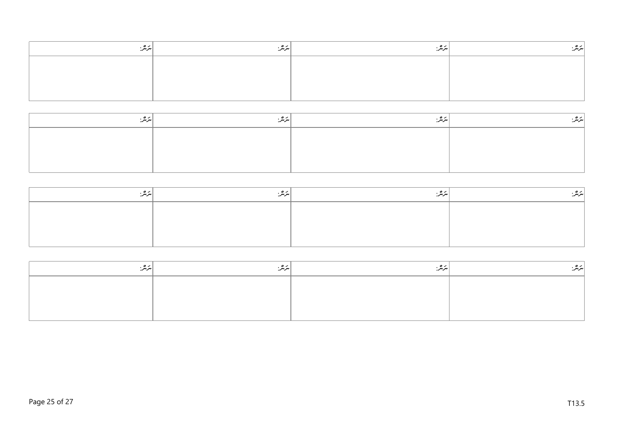| $\cdot$ | ο. | $\frac{\circ}{\cdot}$ | $\sim$<br>سرسر |
|---------|----|-----------------------|----------------|
|         |    |                       |                |
|         |    |                       |                |
|         |    |                       |                |

| يريثن | ' سرسر . |  |
|-------|----------|--|
|       |          |  |
|       |          |  |
|       |          |  |

| بر ه | 。 | $\overline{\phantom{0}}$<br>َ سومس. |  |
|------|---|-------------------------------------|--|
|      |   |                                     |  |
|      |   |                                     |  |
|      |   |                                     |  |

| 。<br>. س | ىرىىر |  |
|----------|-------|--|
|          |       |  |
|          |       |  |
|          |       |  |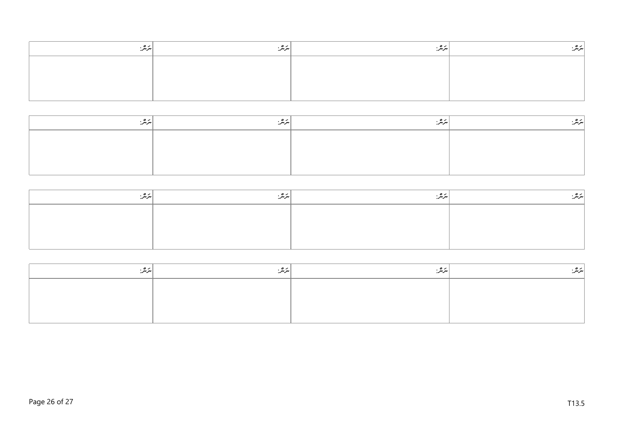| ير هو . | $\overline{\phantom{a}}$ | يرمر | لتزمثن |
|---------|--------------------------|------|--------|
|         |                          |      |        |
|         |                          |      |        |
|         |                          |      |        |

| ىر ھ | $\circ$ $\sim$<br>ا سرسر. | $\circ$ $\sim$<br>' سرسر . | o <i>~</i><br>سرسر. |
|------|---------------------------|----------------------------|---------------------|
|      |                           |                            |                     |
|      |                           |                            |                     |
|      |                           |                            |                     |

| 'تترنثر: | 。<br>,,,, |  |
|----------|-----------|--|
|          |           |  |
|          |           |  |
|          |           |  |

|  | . ه |
|--|-----|
|  |     |
|  |     |
|  |     |